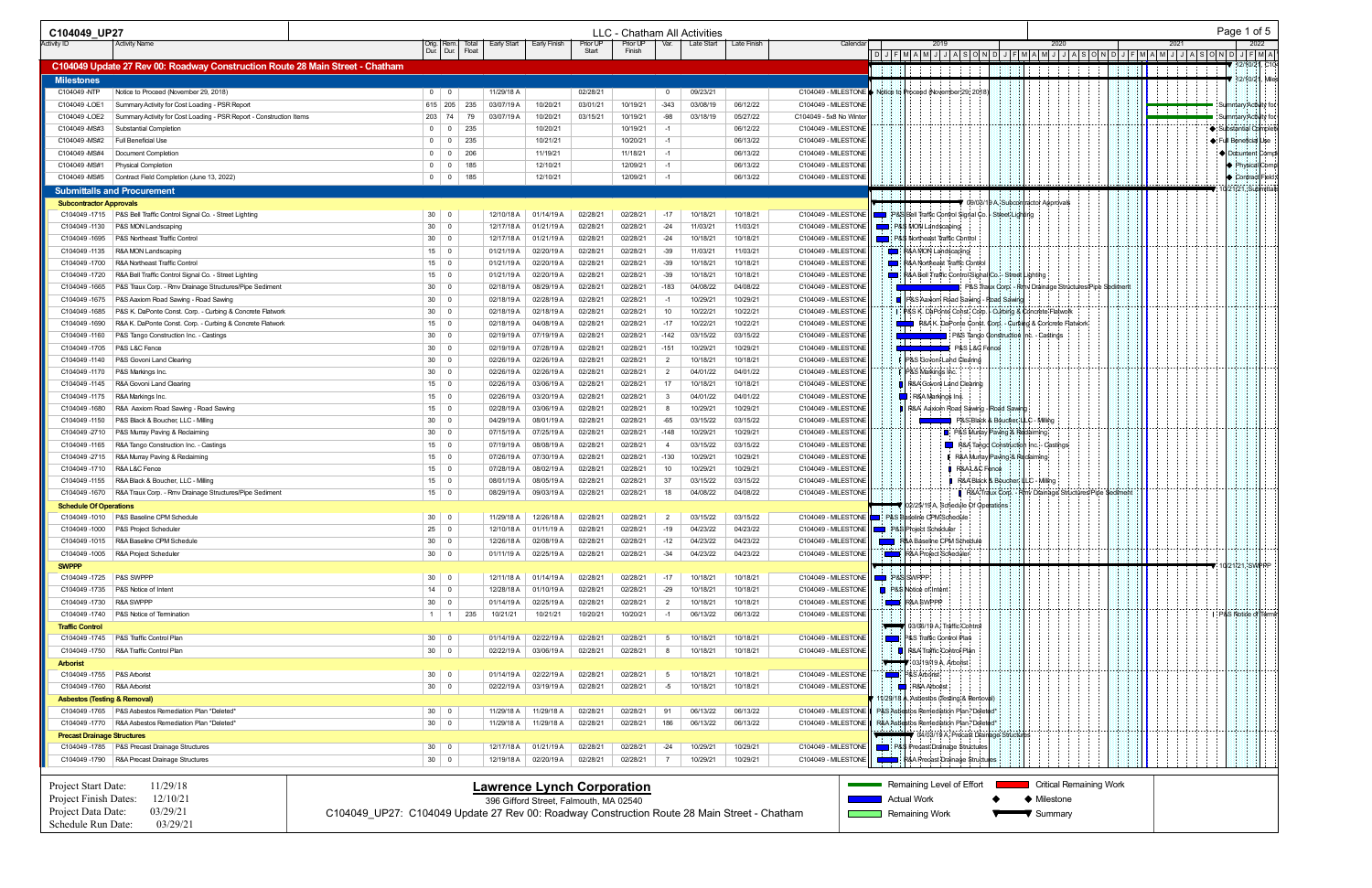| C104049 UP27                            |                                                                               |                                                                                             |       |             |                                        |          |                | LLC - Chatham All Activities |             |                                             |                          |                                                                                                                                                                                                                                |                                        |                                                          |      | Page 1 of 5                         |
|-----------------------------------------|-------------------------------------------------------------------------------|---------------------------------------------------------------------------------------------|-------|-------------|----------------------------------------|----------|----------------|------------------------------|-------------|---------------------------------------------|--------------------------|--------------------------------------------------------------------------------------------------------------------------------------------------------------------------------------------------------------------------------|----------------------------------------|----------------------------------------------------------|------|-------------------------------------|
| <b>Activity ID</b>                      | <b>Activity Name</b>                                                          |                                                                                             |       | Early Start | Early Finish<br>Prior UF               | Prior UP | Var.           | Late Start                   | Late Finish | Calenda                                     |                          | .2019                                                                                                                                                                                                                          |                                        | 2020                                                     | 2021 | 2022                                |
|                                         |                                                                               | Dur. Dur.                                                                                   | Float |             | Start                                  | Finish   |                |                              |             |                                             |                          | D  J  F  M  A  M  J  J  A  S  O  N  D  J  F  M  A  M  J  J  A  S  O  N  D  J  F  M  A  M  J  J  A  S  O  N  D  J  F  M  A<br>   D  J  F  M  A  M  J  J  A  S  O  N  D  J  F  M  A  M  J  J  A  S  O  N  D  J  F  M  A  M  J  J |                                        |                                                          |      |                                     |
|                                         | C104049 Update 27 Rev 00: Roadway Construction Route 28 Main Street - Chatham |                                                                                             |       |             |                                        |          |                |                              |             |                                             |                          |                                                                                                                                                                                                                                |                                        |                                                          |      | 12/10/21, C10                       |
| <b>Milestones</b>                       |                                                                               |                                                                                             |       |             |                                        |          |                |                              |             |                                             |                          |                                                                                                                                                                                                                                |                                        |                                                          |      | 12/10/21, Mile:                     |
| C104049 -NTP                            | Notice to Proceed (November 29, 2018)                                         | $0$ 0                                                                                       |       | 11/29/18 A  | 02/28/21                               |          | $\mathbf{0}$   | 09/23/21                     |             |                                             |                          | C104049 - MILESTONE ♦ Notice to Proceed (November 29, 2018                                                                                                                                                                     |                                        |                                                          |      |                                     |
| C104049 -LOE1                           | Summary Activity for Cost Loading - PSR Report                                | $615$ 205                                                                                   | 235   | 03/07/19 A  | 10/20/21<br>03/01/21                   | 10/19/21 | $-343$         | 03/08/19                     | 06/12/22    | C104049 - MILESTONE                         |                          |                                                                                                                                                                                                                                |                                        |                                                          | .    | <del>™</del> ⊹Su¦mmary¦Activ¦it∀ fo |
| C104049 -LOE2                           | Summary Activity for Cost Loading - PSR Report - Construction Items           | $203$ 74                                                                                    | 79    | 03/07/19 A  | 03/15/21<br>10/20/21                   | 10/19/21 | -98            | 03/18/19                     | 05/27/22    | C104049 - 5x8 No Winter                     |                          |                                                                                                                                                                                                                                |                                        |                                                          |      | Summary:Activity fo                 |
| C104049 - MS#3                          | Substantial Completion                                                        | $0$ 0                                                                                       | 235   |             | 10/20/21                               | 10/19/21 | -1             |                              | 06/12/22    | C104049 - MILESTONE                         |                          |                                                                                                                                                                                                                                |                                        |                                                          |      | ♦: Substantial Complet              |
| C104049 - MS#2                          | Full Beneficial Use                                                           | $0 \mid 0 \mid 235$                                                                         |       |             | 10/21/21                               | 10/20/21 |                |                              | 06/13/22    | C104049 - MILESTONE                         |                          |                                                                                                                                                                                                                                |                                        |                                                          |      | ← Full Beneficial Use               |
| C104049 - MS#4                          | Document Completion                                                           | 0 0                                                                                         | 206   |             | 11/19/21                               | 11/18/21 | -1             |                              | 06/13/22    | C104049 - MILESTONE                         |                          |                                                                                                                                                                                                                                |                                        |                                                          |      | ♦ Dolcument Comp                    |
|                                         | C104049 - MS#1   Physical Completion                                          | 0 0                                                                                         | 185   |             | 12/10/21                               | 12/09/21 | $-1$           |                              | 06/13/22    | C104049 - MILESTONE                         |                          |                                                                                                                                                                                                                                |                                        |                                                          |      | → Physical Com                      |
|                                         | C104049 -MS#5 Contract Field Completion (June 13, 2022)                       | $0 \mid 0 \mid$                                                                             | 185   |             | 12/10/21                               | 12/09/21 | $-1$           |                              | 06/13/22    | C104049 - MILESTONI                         |                          |                                                                                                                                                                                                                                |                                        |                                                          |      | Contract Field                      |
|                                         | <b>Submittalls and Procurement</b>                                            |                                                                                             |       |             |                                        |          |                |                              |             |                                             |                          |                                                                                                                                                                                                                                |                                        |                                                          |      | 21/21, Submitta                     |
| <b>Subcontractor Approvals</b>          |                                                                               |                                                                                             |       |             |                                        |          |                |                              |             |                                             |                          |                                                                                                                                                                                                                                | d9/03/19 A. Subcontractor Approvals    |                                                          |      |                                     |
|                                         | C104049 -1715   P&S Bell Traffic Control Signal Co. - Street Lighting         | $30 \mid 0$                                                                                 |       | 12/10/18 A  | 01/14/19 A<br>02/28/21                 | 02/28/21 | $-17$          | 10/18/21                     | 10/18/21    | C104049 - MILESTONE                         |                          | P&S Bell Traffic Control Signal Co.   Street Lighting                                                                                                                                                                          |                                        |                                                          |      |                                     |
|                                         | C104049-1130   P&S MON Landscaping                                            | $30 \mid 0$                                                                                 |       | 12/17/18 A  | 01/21/19 A<br>02/28/21                 | 02/28/21 | -24            | 11/03/21                     | 11/03/21    | C104049 - MILESTONE                         |                          | P&\$ MON Landscaping                                                                                                                                                                                                           |                                        |                                                          |      |                                     |
|                                         | C104049-1695   P&S Northeast Traffic Control                                  | $30 \mid 0$                                                                                 |       | 12/17/18 A  | 01/21/19 A<br>02/28/21                 | 02/28/21 | -24            | 10/18/21                     | 10/18/21    | C104049 - MILESTONE                         |                          | P&\$ Northeast Traffic Control                                                                                                                                                                                                 |                                        |                                                          |      |                                     |
|                                         | C104049-1135   R&A MON Landscaping                                            | $15 \mid 0$                                                                                 |       | 01/21/19 A  | 02/20/19 A<br>02/28/21                 | 02/28/21 | -39            | 11/03/2                      | 11/03/21    | C104049 - MILESTONE                         | 2 I                      | R&A MON Landscaping                                                                                                                                                                                                            |                                        |                                                          |      |                                     |
|                                         | C104049-1700 R&A Northeast Traffic Control                                    | $15 \mid 0$                                                                                 |       | 01/21/19 A  | 02/20/19 A<br>02/28/21                 | 02/28/21 | $-39$          | 10/18/21                     | 10/18/21    | C104049 - MILESTONE                         | 8 B                      | R&A Northeast Traffic Control                                                                                                                                                                                                  |                                        |                                                          |      |                                     |
|                                         | C104049 -1720   R&A Bell Traffic Control Signal Co. - Street Lighting         | $15 \mid 0$                                                                                 |       | 01/21/19 A  | 02/28/21<br>02/20/19 A                 | 02/28/21 | -39            | 10/18/21                     | 10/18/21    | C104049 - MILESTONE                         | 2 I I                    | R&A Bell Traffic Control Signal Co. - Street Lighting                                                                                                                                                                          |                                        |                                                          |      |                                     |
| C104049-1665                            | P&S Traux Corp. - Rmv Drainage Structures/Pipe Sediment                       | $30 \mid 0$                                                                                 |       | 02/18/19 A  | 08/29/19 A<br>02/28/21                 | 02/28/21 | $-183$         | 04/08/22                     | 04/08/22    | C104049 - MILESTONE                         |                          |                                                                                                                                                                                                                                |                                        | P&S Traux Corp. - Rrhy Drainage Structures/Pipe Sediment |      |                                     |
| C104049-1675                            | P&S Aaxiom Road Sawing - Road Sawing                                          | $30 \mid 0$                                                                                 |       | 02/18/19 A  | 02/28/21<br>02/28/19 A                 | 02/28/21 | -1             | 10/29/21                     | 10/29/21    | C104049 - MILESTONE                         |                          | ■ P&S Aaxiom Road Sawing - Road Sawing                                                                                                                                                                                         |                                        |                                                          |      |                                     |
| C104049-1685                            | P&S K. DaPonte Const. Corp. - Curbing & Concrete Flatwork                     | $30 \mid 0$                                                                                 |       | 02/18/19 A  | 02/18/19 A<br>02/28/21                 | 02/28/21 | 10             | 10/22/21                     | 10/22/21    | C104049 - MILESTONE                         |                          | P&S K. DaPonte Const. Corp.   Curbing & Concrete Flatwork                                                                                                                                                                      |                                        |                                                          |      |                                     |
|                                         | C104049-1690   R&A K. DaPonte Const. Corp. - Curbing & Concrete Flatwork      | $15 \mid 0$                                                                                 |       | 02/18/19 A  | 02/28/21<br>04/08/19 A                 | 02/28/21 | $-17$          | 10/22/21                     | 10/22/21    | C104049 - MILESTONE                         |                          | R&A K. DaPonte Const. Corp. - Curbing & Concrete Flatwork                                                                                                                                                                      |                                        |                                                          |      |                                     |
|                                         | C104049 -1160   P&S Tango Construction Inc. - Castings                        | $30 \mid 0$                                                                                 |       | 02/19/19 A  | 02/28/21<br>07/19/19 A                 | 02/28/21 | $-142$         | 03/15/22                     | 03/15/22    | C104049 - MILESTONE                         |                          | 20 March 1999                                                                                                                                                                                                                  | P&S Tango Construction Inc. - Castings |                                                          |      |                                     |
| C104049 -1705   P&S L&C Fence           |                                                                               | $30 \mid 0$                                                                                 |       | 02/19/19 A  | 07/28/19 A<br>02/28/21                 | 02/28/21 | $-151$         | 10/29/21                     | 10/29/21    | C104049 - MILESTONE                         |                          | <b>P&amp;S L&amp;C Fence</b>                                                                                                                                                                                                   |                                        |                                                          |      |                                     |
|                                         | C104049-1140   P&S Govoni Land Clearing                                       | $30 \mid 0$                                                                                 |       | 02/26/19 A  | 02/28/21<br>02/26/19 A                 | 02/28/21 | 2              | 10/18/21                     | 10/18/21    | C104049 - MILESTONE                         |                          | P&S Govoni Land Clearing                                                                                                                                                                                                       |                                        |                                                          |      |                                     |
|                                         | C104049 -1170   P&S Markings Inc.                                             | $30 \mid 0$                                                                                 |       | 02/26/19 A  | 02/26/19 A<br>02/28/21                 | 02/28/21 | 2              | 04/01/22                     | 04/01/22    | C104049 - MILESTONE                         |                          | P&S Markings Inc.                                                                                                                                                                                                              |                                        |                                                          |      |                                     |
|                                         | C104049 -1145   R&A Govoni Land Clearing                                      | $15 \mid 0$                                                                                 |       | 02/26/19 A  | 03/06/19 A<br>02/28/21                 | 02/28/21 | 17             | 10/18/21                     | 10/18/21    | C104049 - MILESTONE                         |                          | <b>D</b>   R&A Govoni Land Clearing                                                                                                                                                                                            |                                        |                                                          |      |                                     |
|                                         | C104049 -1175   R&A Markings Inc.                                             | $15 \mid 0$                                                                                 |       | 02/26/19 A  | 03/20/19 A<br>02/28/21                 | 02/28/21 | - 3            | 04/01/22                     | 04/01/22    | C104049 - MILESTONE                         |                          | R&A Markings Inc.                                                                                                                                                                                                              |                                        |                                                          |      |                                     |
| C104049-1680                            | R&A Aaxiom Road Sawing - Road Sawing                                          | $15 \mid 0$                                                                                 |       | 02/28/19 A  | 03/06/19 A<br>02/28/21                 | 02/28/21 |                | 10/29/21                     | 10/29/21    | C104049 - MILESTONE                         |                          | R8A Aaxiom Road Sawing - Road Sawin                                                                                                                                                                                            |                                        |                                                          |      |                                     |
| C104049-1150                            | P&S Black & Boucher, LLC - Milling                                            | $30 \mid 0$                                                                                 |       | 04/29/19 A  | 02/28/21<br>08/01/19 A                 | 02/28/21 | -65            | 03/15/22                     | 03/15/22    | C104049 - MILESTONE                         |                          |                                                                                                                                                                                                                                | P&S Black & Boucher, ULC - Milling     |                                                          |      |                                     |
| C104049-2710                            | P&S Murray Paving & Reclaiming                                                | $30 \mid 0$                                                                                 |       | 07/15/19 A  | 07/25/19 A<br>02/28/21                 | 02/28/21 | $-148$         | 10/29/21                     | 10/29/21    | C104049 - MILESTONE                         |                          |                                                                                                                                                                                                                                | P&S Murray Paving & Reclaiming         |                                                          |      |                                     |
| C104049 -1165                           | R&A Tango Construction Inc. - Castings                                        | $15 \mid 0$                                                                                 |       | 07/19/19 A  | 08/08/19 A<br>02/28/21                 | 02/28/21 |                | 03/15/22                     | 03/15/22    | C104049 - MILESTONE                         |                          |                                                                                                                                                                                                                                | R&A Tango Construction Inc. - Castings |                                                          |      |                                     |
|                                         | C104049 -2715   R&A Murray Paving & Reclaiming                                | $15 \mid 0$                                                                                 |       | 07/26/19 A  | 02/28/21<br>07/30/19 A                 | 02/28/21 | $-130$         | 10/29/21                     | 10/29/21    | C104049 - MILESTONE                         |                          |                                                                                                                                                                                                                                | R&A Murray Paving & Reclaiming         |                                                          |      |                                     |
| C104049-1710   R&A L&C Fence            |                                                                               | $15 \mid 0$                                                                                 |       | 07/28/19 A  | 08/02/19 A<br>02/28/21                 | 02/28/21 | 10             | 10/29/21                     | 10/29/21    | C104049 - MILESTONE                         |                          | <b>B</b> R&A L&C Fence                                                                                                                                                                                                         |                                        |                                                          |      |                                     |
|                                         | C104049 -1155   R&A Black & Boucher, LLC - Milling                            | $15 \mid 0$                                                                                 |       | 08/01/19 A  | 02/28/21<br>08/05/19 A                 | 02/28/21 | 37             | 03/15/22                     | 03/15/22    | C104049 - MILESTONE                         |                          |                                                                                                                                                                                                                                | R&A Black & Boucher, LLC - Milling     |                                                          |      |                                     |
|                                         | C104049 -1670   R&A Traux Corp. - Rmv Drainage Structures/Pipe Sediment       | $15 \mid 0$                                                                                 |       | 08/29/19 A  | 09/03/19 A<br>02/28/21                 | 02/28/21 | 18             | 04/08/22                     | 04/08/22    | C104049 - MILESTONE                         |                          |                                                                                                                                                                                                                                |                                        | R&A Traux Corp. - Rmv Drainage Structures/Pipe \$ediment |      |                                     |
| <b>Schedule Of Operations</b>           |                                                                               |                                                                                             |       |             |                                        |          |                |                              |             |                                             |                          | 02/25/19 A, Schedule Of Operations                                                                                                                                                                                             |                                        |                                                          |      |                                     |
|                                         | C104049-1010   P&S Baseline CPM Schedule                                      | $30 \mid 0$                                                                                 |       | 11/29/18 A  | 12/26/18 A<br>02/28/21                 | 02/28/21 | $\overline{2}$ | 03/15/22                     | 03/15/22    |                                             |                          | C104049 - MILESTONE <b>Details</b> P&S Baseline CPM Schedule                                                                                                                                                                   |                                        |                                                          |      |                                     |
|                                         | C104049 -1000   P&S Project Scheduler                                         | $25 \mid 0$                                                                                 |       | 12/10/18 A  | 01/11/19 A<br>02/28/21                 | 02/28/21 | -19            | 04/23/22                     | 04/23/22    | C104049 - MILESTONE   P&S Project Scheduler |                          |                                                                                                                                                                                                                                |                                        |                                                          |      |                                     |
|                                         | C104049-1015   R&A Baseline CPM Schedule                                      | $30 \mid 0$                                                                                 |       | 12/26/18 A  | 02/28/21<br>02/08/19 A                 | 02/28/21 | $-12$          | 04/23/22                     | 04/23/22    | C104049 - MILESTONE                         |                          | R&A Baseline CPM Schedule                                                                                                                                                                                                      |                                        |                                                          |      |                                     |
|                                         | C104049-1005   R&A Project Scheduler                                          | $30 \mid 0$                                                                                 |       | 01/11/19 A  | 02/25/19 A<br>02/28/21                 | 02/28/21 | -34            | 04/23/22                     | 04/23/22    | C104049 - MILESTONE                         |                          | R&A Project Scheduler                                                                                                                                                                                                          |                                        |                                                          |      |                                     |
| <b>SWPPP</b>                            |                                                                               |                                                                                             |       |             |                                        |          |                |                              |             |                                             |                          |                                                                                                                                                                                                                                |                                        |                                                          |      | 10/21/21, SWPPP                     |
| C104049-1725   P&S SWPPP                |                                                                               | $30 \mid 0$                                                                                 |       | 12/11/18 A  | 01/14/19 A<br>02/28/21                 | 02/28/21 | $-17$          | 10/18/21                     | 10/18/21    | C104049 - MILESTONE                         |                          | P&SISWPPP                                                                                                                                                                                                                      |                                        |                                                          |      |                                     |
|                                         | C104049 -1735   P&S Notice of Intent                                          | $14 \mid 0$                                                                                 |       | 12/28/18 A  | 01/10/19 A<br>02/28/21                 | 02/28/21 | $-29$          | 10/18/21                     | 10/18/21    | C104049 - MILESTONE                         |                          | <b>P&amp;S</b> Notice of Intent                                                                                                                                                                                                |                                        |                                                          |      |                                     |
| C104049-1730 R&A SWPPP                  |                                                                               | $30 \mid 0$                                                                                 |       | 01/14/19 A  | 02/28/21<br>02/25/19 A                 | 02/28/21 | $\overline{2}$ | 10/18/21                     | 10/18/21    | C104049 - MILESTONE                         | $\overline{\phantom{a}}$ | R&A SWPPP                                                                                                                                                                                                                      |                                        |                                                          |      |                                     |
|                                         | C104049 -1740   P&S Notice of Termination                                     | $1 \mid 1 \mid$                                                                             | 235   | 10/21/21    | 10/20/21<br>10/21/21                   | 10/20/21 | $-1$           | 06/13/22                     | 06/13/22    | C104049 - MILESTONE                         |                          |                                                                                                                                                                                                                                |                                        |                                                          |      | P&S Notice of Term                  |
| <b>Traffic Control</b>                  |                                                                               |                                                                                             |       |             |                                        |          |                |                              |             |                                             |                          | 03/06/19 A, Traffic Control                                                                                                                                                                                                    |                                        |                                                          |      |                                     |
|                                         | C104049 -1745   P&S Traffic Control Plan                                      | $30 \mid 0$                                                                                 |       | 01/14/19 A  | 02/22/19 A<br>02/28/21                 | 02/28/21 | 5              | 10/18/21                     | 10/18/21    | C104049 - MILESTONE                         | $\sim$ 0.000 $\sigma$    | P&S Traffic Control Plan                                                                                                                                                                                                       |                                        |                                                          |      |                                     |
|                                         | C104049-1750 R&A Traffic Control Plan                                         | $30 \mid 0$                                                                                 |       | 02/22/19 A  | 03/06/19 A<br>02/28/21                 | 02/28/21 | - 8            | 10/18/21                     | 10/18/21    | C104049 - MILESTONE                         |                          | R&A Traffic Control Plan                                                                                                                                                                                                       |                                        |                                                          |      |                                     |
| <b>Arborist</b>                         |                                                                               |                                                                                             |       |             |                                        |          |                |                              |             |                                             |                          | $03/19/19$ A, Arborist                                                                                                                                                                                                         |                                        |                                                          |      |                                     |
| C104049 -1755   P&S Arborist            |                                                                               | $30 \mid 0$                                                                                 |       | 01/14/19 A  | 02/22/19 A<br>02/28/21                 | 02/28/21 | 5              | 10/18/21                     | 10/18/21    | C104049 - MILESTONE                         |                          | P&S Arborist                                                                                                                                                                                                                   |                                        |                                                          |      |                                     |
| C104049 -1760   R&A Arborist            |                                                                               | $30 \mid 0$                                                                                 |       | 02/22/19 A  | 03/19/19 A<br>02/28/21                 | 02/28/21 | $-5$           | 10/18/21                     | 10/18/21    | C104049 - MILESTONE                         |                          | R&A Arborist                                                                                                                                                                                                                   |                                        |                                                          |      |                                     |
| <b>Asbestos (Testing &amp; Removal)</b> |                                                                               |                                                                                             |       |             |                                        |          |                |                              |             |                                             |                          | 11/29/18 A, Asbestos (Testing & Removal)                                                                                                                                                                                       |                                        |                                                          |      |                                     |
|                                         | C104049 -1765   P&S Asbestos Remediation Plan *Deleted                        | $30 \mid 0$                                                                                 |       | 11/29/18 A  | 11/29/18 A<br>02/28/21                 | 02/28/21 | 91             | 06/13/22                     | 06/13/22    | C104049 - MILESTONE                         |                          | P&S Asbestos Remediation Plan *Deleted*                                                                                                                                                                                        |                                        |                                                          |      |                                     |
|                                         | C104049 -1770   R&A Asbestos Remediation Plan *Deleted*                       | $30 \mid 0$                                                                                 |       | 11/29/18 A  | 11/29/18 A<br>02/28/21                 | 02/28/21 | 186            | 06/13/22                     | 06/13/22    | C104049 - MILESTONE                         |                          | R&A Asbestos Remediation Plan *Deleted*                                                                                                                                                                                        |                                        |                                                          |      |                                     |
| <b>Precast Drainage Structures</b>      |                                                                               |                                                                                             |       |             |                                        |          |                |                              |             |                                             |                          | 04/03/19 A, Precast Drainage Structures                                                                                                                                                                                        |                                        |                                                          |      |                                     |
|                                         | C104049-1785   P&S Precast Drainage Structures                                | $30 \mid 0$                                                                                 |       | 12/17/18 A  | 01/21/19 A<br>02/28/21                 | 02/28/21 | -24            | 10/29/21                     | 10/29/21    |                                             |                          | C104049 - MILESTONE     P&\$ Precast Drainage Structures                                                                                                                                                                       |                                        |                                                          |      |                                     |
|                                         | C104049 -1790   R&A Precast Drainage Structures                               | $30 \mid 0$                                                                                 |       |             | 12/19/18 A 02/20/19 A 02/28/21         | 02/28/21 | 7              | 10/29/21                     | 10/29/21    | C104049 - MILESTONE                         |                          | R&A Precast Drainage Structures                                                                                                                                                                                                |                                        |                                                          |      |                                     |
|                                         |                                                                               |                                                                                             |       |             |                                        |          |                |                              |             |                                             |                          |                                                                                                                                                                                                                                |                                        |                                                          |      |                                     |
|                                         |                                                                               |                                                                                             |       |             |                                        |          |                |                              |             |                                             |                          | Remaining Level of Effort                                                                                                                                                                                                      |                                        | <b>Critical Remaining Work</b>                           |      |                                     |
| Project Start Date:                     | 11/29/18                                                                      |                                                                                             |       |             | <b>Lawrence Lynch Corporation</b>      |          |                |                              |             |                                             |                          |                                                                                                                                                                                                                                |                                        |                                                          |      |                                     |
| Project Finish Dates:                   | 12/10/21                                                                      |                                                                                             |       |             | 396 Gifford Street, Falmouth, MA 02540 |          |                |                              |             |                                             |                          | <b>Actual Work</b>                                                                                                                                                                                                             |                                        | ♦ Milestone                                              |      |                                     |
| Project Data Date:                      | 03/29/21                                                                      | C104049_UP27: C104049 Update 27 Rev 00: Roadway Construction Route 28 Main Street - Chatham |       |             |                                        |          |                |                              |             |                                             |                          | Remaining Work                                                                                                                                                                                                                 |                                        | Summary                                                  |      |                                     |
| Schedule Run Date:                      | 03/29/21                                                                      |                                                                                             |       |             |                                        |          |                |                              |             |                                             |                          |                                                                                                                                                                                                                                |                                        |                                                          |      |                                     |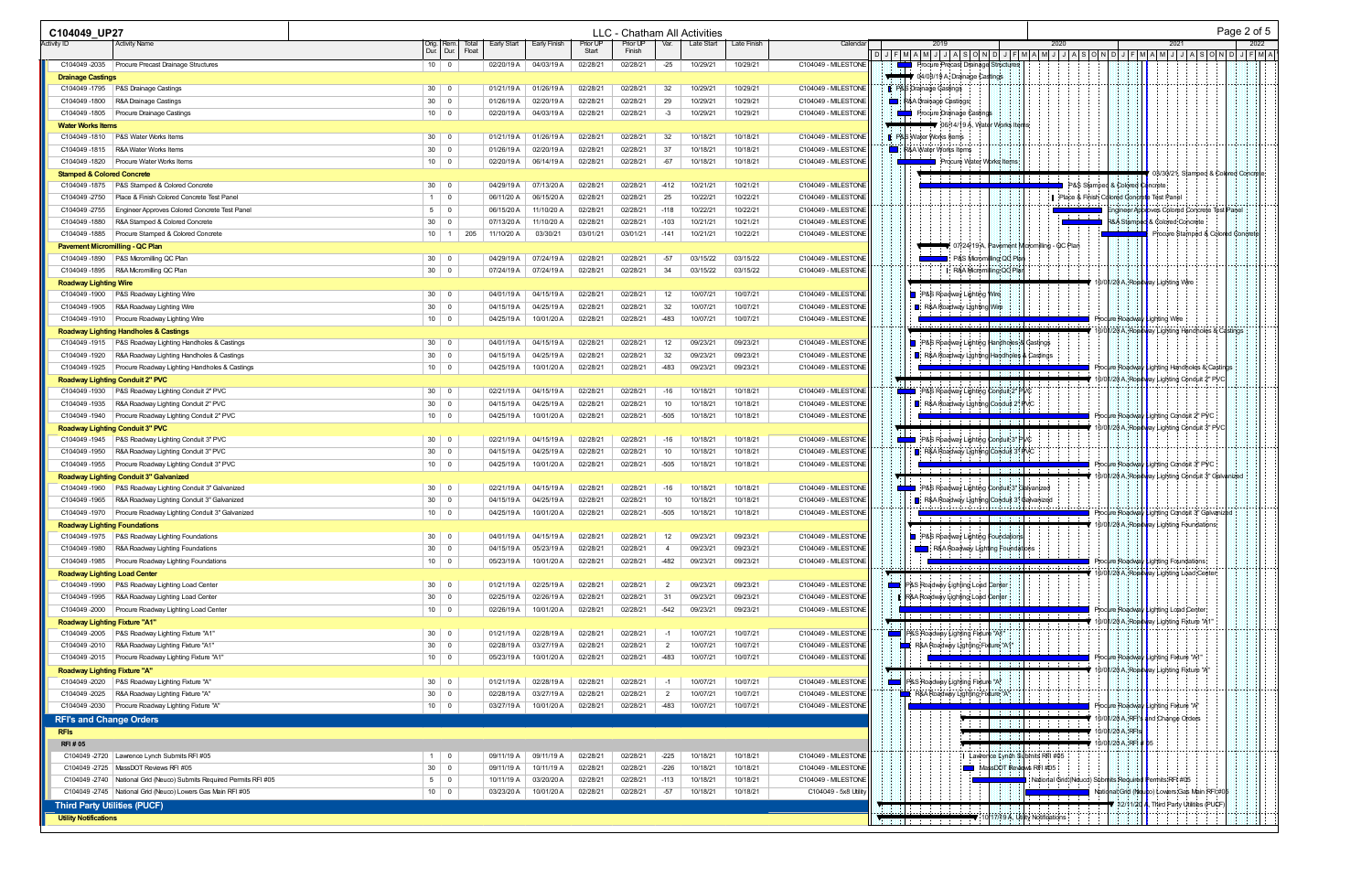| C104049 UP27                                          |                                                                          |                 |                            |                          |                          |                      | LLC - Chatham All Activities |                |                      |                      |                                            |                   |                                  |                                                                                                                       |                                             |      |                                                                                                   |                                        |                                                                                        |                                                    | Page 2 of 5 |      |
|-------------------------------------------------------|--------------------------------------------------------------------------|-----------------|----------------------------|--------------------------|--------------------------|----------------------|------------------------------|----------------|----------------------|----------------------|--------------------------------------------|-------------------|----------------------------------|-----------------------------------------------------------------------------------------------------------------------|---------------------------------------------|------|---------------------------------------------------------------------------------------------------|----------------------------------------|----------------------------------------------------------------------------------------|----------------------------------------------------|-------------|------|
| Activity ID                                           | <b>Activity Name</b>                                                     |                 | Orig.   Rem. <br>Dur. Dur. | Early Start<br>Float     | Early Finish             | Prior UP<br>Start    | Prior UP<br>Finish           | Var.           | Late Start           | Late Finish          | Calendar                                   |                   | 2019                             |                                                                                                                       |                                             | 2020 |                                                                                                   |                                        | 2021                                                                                   |                                                    |             | 2022 |
|                                                       | C104049 -2035 Procure Precast Drainage Structures                        |                 | $10 \mid 0$                | 02/20/19 A               | 04/03/19 A               | 02/28/21             | 02/28/21                     | $-25$          | 10/29/21             | 10/29/21             | C104049 - MILESTONE                        |                   |                                  | <b>Procure Precast Drainage Structures</b>                                                                            |                                             |      | $D J F M A M J J J A S O N D J F M A M J J A S O N D J F M A M J J F M A M J J A S O N D J F M A$ |                                        |                                                                                        |                                                    |             |      |
| <b>Drainage Castings</b>                              |                                                                          |                 |                            |                          |                          |                      |                              |                |                      |                      |                                            |                   |                                  | 04/03/19 A, Drainage Castings                                                                                         |                                             |      |                                                                                                   |                                        |                                                                                        |                                                    |             |      |
| C104049 -1795                                         | P&S Drainage Castings                                                    | 30 <sup>1</sup> | - 0                        | 01/21/19 A               | 01/26/19 A               | 02/28/21             | 02/28/21                     | 32             | 10/29/21             | 10/29/21             | C104049 - MILESTONE                        |                   | <b>B:</b> P&S Drainage Castings  |                                                                                                                       |                                             |      |                                                                                                   |                                        |                                                                                        |                                                    |             |      |
| C104049-1800                                          | R&A Drainage Castings                                                    | 30 <sup>1</sup> | $\overline{0}$             | 01/26/19 A               | 02/20/19 A               | 02/28/21             | 02/28/21                     | 29             | 10/29/21             | 10/29/21             | C104049 - MILESTONE                        | <b>The Second</b> | R&A Drainage Castings            |                                                                                                                       |                                             |      |                                                                                                   |                                        |                                                                                        |                                                    |             |      |
| C104049 -1805                                         | <b>Procure Drainage Castings</b>                                         |                 | $10 \mid 0$                | 02/20/19 A               | 04/03/19 A               | 02/28/21             | 02/28/21                     | $-3$           | 10/29/21             | 10/29/21             | C104049 - MILESTONE                        |                   |                                  | Procure Drainage Castings                                                                                             |                                             |      |                                                                                                   |                                        |                                                                                        |                                                    |             |      |
| <b>Water Works Items</b>                              |                                                                          |                 |                            |                          |                          |                      |                              |                |                      |                      |                                            |                   |                                  | <b>■▼</b> 06/14/19 A. Water Works Items                                                                               |                                             |      |                                                                                                   |                                        |                                                                                        |                                                    |             |      |
| C104049 -1810                                         | P&S Water Works Items                                                    |                 | $30 \mid 0$                | 01/21/19 A               | 01/26/19 A               | 02/28/21             | 02/28/21                     | 32             | 10/18/21             | 10/18/21             | C104049 - MILESTONE                        |                   | <b>P&amp;S Water Works Items</b> |                                                                                                                       |                                             |      |                                                                                                   |                                        |                                                                                        |                                                    |             |      |
| C104049-1815                                          | R&A Water Works Items<br>Procure Water Works Items                       | 30 <sup>1</sup> | $\Omega$<br>$10 \mid 0$    | 01/26/19 A               | 02/20/19 A               | 02/28/21             | 02/28/21                     | 37             | 10/18/21             | 10/18/21<br>10/18/21 | C104049 - MILESTONE<br>C104049 - MILESTONE | <b>i</b> is a     | <b>ଃ&amp;A Water Works Items</b> |                                                                                                                       |                                             |      |                                                                                                   |                                        |                                                                                        |                                                    |             |      |
| C104049-1820<br><b>Stamped &amp; Colored Concrete</b> |                                                                          |                 |                            | 02/20/19 A               | 06/14/19 A               | 02/28/21             | 02/28/21                     | -67            | 10/18/21             |                      |                                            |                   |                                  | Procure Water Works Items                                                                                             |                                             |      |                                                                                                   |                                        |                                                                                        | 03/30/21, Stamped & Colored Concrete               |             |      |
| C104049-1875                                          | P&S Stamped & Colored Concrete                                           |                 | $30 \mid 0$                | 04/29/19 A               | 07/13/20 A               | 02/28/21             | 02/28/21                     | $-412$         | 10/21/21             | 10/21/21             | C104049 - MILESTONE                        |                   |                                  |                                                                                                                       |                                             |      | P&S Stamped & Colored Co                                                                          |                                        | ncrete                                                                                 |                                                    |             |      |
| C104049-2750                                          | Place & Finish Colored Concrete Test Panel                               |                 | $1 \quad 0$                | 06/11/20 A               | 06/15/20 A               | 02/28/21             | 02/28/21                     | 25             | 10/22/21             | 10/22/21             | C104049 - MILESTONE                        |                   |                                  |                                                                                                                       |                                             |      | Place & Finish Colored Concrete Test Panel                                                        |                                        |                                                                                        |                                                    |             |      |
| C104049-2755                                          | Engineer Approves Colored Concrete Test Panel                            | 5 <sup>5</sup>  | $\overline{\mathbf{0}}$    | 06/15/20 A               | 11/10/20 A               | 02/28/21             | 02/28/21                     | $-118$         | 10/22/21             | 10/22/21             | C104049 - MILESTONE                        |                   |                                  |                                                                                                                       |                                             |      |                                                                                                   |                                        |                                                                                        | ngineer Approves Colored Concrete Test Panel       |             |      |
| C104049-1880                                          | R&A Stamped & Colored Concrete                                           | 30              | - 0                        | 07/13/20 A               | 11/10/20 A               | 02/28/21             | 02/28/21                     | $-103$         | 10/21/21             | 10/21/21             | C104049 - MILESTONE                        |                   |                                  |                                                                                                                       |                                             |      |                                                                                                   | <b>8A</b> Stam                         | d & Colored Concrete                                                                   |                                                    |             |      |
| C104049-1885                                          | Procure Stamped & Colored Concrete                                       |                 | $10 \mid 1$                | 205<br>11/10/20 A        | 03/30/21                 | 03/01/21             | 03/01/21                     | $-141$         | 10/21/21             | 10/22/21             | C104049 - MILESTONE                        |                   |                                  |                                                                                                                       |                                             |      |                                                                                                   |                                        |                                                                                        | Procure Stamped & Colored Concrete                 |             |      |
| <b>Pavement Micromilling - QC Plan</b>                |                                                                          |                 |                            |                          |                          |                      |                              |                |                      |                      |                                            |                   |                                  |                                                                                                                       | 07/24/19 A, Pavement Micromilling - QC Plan |      |                                                                                                   |                                        |                                                                                        |                                                    |             |      |
| C104049 -1890                                         | <b>P&amp;S Micromilling QC Plan</b>                                      | 30 <sup>1</sup> | $\Omega$                   | 04/29/19 A               | 07/24/19 A               | 02/28/21             | 02/28/21                     | $-57$          | 03/15/22             | 03/15/22             | C104049 - MILESTONE                        |                   |                                  |                                                                                                                       | P&S Micromilling QC Plan                    |      |                                                                                                   |                                        |                                                                                        |                                                    |             |      |
| C104049-1895                                          | R&A Micromilling QC Plan                                                 |                 | $30 \mid 0$                | 07/24/19 A               | 07/24/19 A               | 02/28/21             | 02/28/21                     | 34             | 03/15/22             | 03/15/22             | C104049 - MILESTONE                        |                   |                                  |                                                                                                                       | R&A Micromilling QC Plan                    |      |                                                                                                   |                                        |                                                                                        |                                                    |             |      |
| <b>Roadway Lighting Wire</b><br>C104049 -1900         | <b>P&amp;S Roadway Lighting Wire</b>                                     |                 | $30 \mid 0$                | 04/01/19 A               | 04/15/19 A               | 02/28/21             | 02/28/21                     | 12             | 10/07/21             | 10/07/21             | C104049 - MILESTONE                        |                   |                                  | <b>B</b> P&S Roadway Lighting Wire                                                                                    |                                             |      |                                                                                                   |                                        | 10/01/20 A, Roadway Lighting Wire                                                      |                                                    |             |      |
| C104049-1905                                          | R&A Roadway Lighting Wire                                                | 30              | $\overline{\phantom{0}}$   | 04/15/19 A               | 04/25/19 A               | 02/28/21             | 02/28/21                     | 32             | 10/07/21             | 10/07/21             | C104049 - MILESTONE                        |                   |                                  | R&A Roadway Lighting Wire                                                                                             |                                             |      |                                                                                                   |                                        |                                                                                        |                                                    |             |      |
| C104049-1910                                          | Procure Roadway Lighting Wire                                            |                 | $10 \mid 0$                | 04/25/19 A               | 10/01/20 A               | 02/28/21             | 02/28/21                     | -483           | 10/07/21             | 10/07/21             | C104049 - MILESTONE                        |                   |                                  |                                                                                                                       |                                             |      |                                                                                                   |                                        | Procure Roadway Lighting Wire                                                          |                                                    |             |      |
|                                                       | <b>Roadway Lighting Handholes &amp; Castings</b>                         |                 |                            |                          |                          |                      |                              |                |                      |                      |                                            |                   |                                  |                                                                                                                       |                                             |      |                                                                                                   |                                        |                                                                                        | 10/01/20 A, Roadvay Lighting Handholes & Castings  |             |      |
| C104049-1915                                          | P&S Roadway Lighting Handholes & Castings                                | 30              | - 0                        | 04/01/19 A               | 04/15/19 A               | 02/28/21             | 02/28/21                     | 12             | 09/23/21             | 09/23/21             | C104049 - MILESTONE                        |                   |                                  | P&S Roadway Lighting Handholes & Castings                                                                             |                                             |      |                                                                                                   |                                        |                                                                                        |                                                    |             |      |
| C104049-1920                                          | R&A Roadway Lighting Handholes & Castings                                |                 | $30 \mid 0$                | 04/15/19 A               | 04/25/19 A               | 02/28/21             | 02/28/21                     | 32             | 09/23/21             | 09/23/21             | C104049 - MILESTONE                        |                   |                                  | R&A Roadway Lighting Handholes & Castings                                                                             |                                             |      |                                                                                                   |                                        |                                                                                        |                                                    |             |      |
| C104049-1925                                          | Procure Roadway Lighting Handholes & Castings                            |                 | $10 \mid 0$                | 04/25/19 A               | 10/01/20 A               | 02/28/21             | 02/28/21                     | -483           | 09/23/21             | 09/23/21             | C104049 - MILESTONE                        |                   |                                  | <u> 1989 - John Maria Barbara, marka a shekara 1989 - John Alban Barbara a shekara 1989 - John Alban Barbara a sh</u> |                                             |      |                                                                                                   |                                        |                                                                                        | Procure Roadway Lighting Handholes & Castings      |             |      |
|                                                       | <b>Roadway Lighting Conduit 2" PVC</b>                                   |                 |                            |                          |                          |                      |                              |                |                      |                      |                                            |                   |                                  |                                                                                                                       |                                             |      |                                                                                                   |                                        | 10/01/20 A. Roadyay Lighting Conduit 2" PVC                                            |                                                    |             |      |
| C104049 -1930                                         | P&S Roadway Lighting Conduit 2" PVC                                      | 30 <sup>1</sup> | - 0                        | 02/21/19 A               | 04/15/19 A               | 02/28/21             | 02/28/21                     | $-16$          | 10/18/21             | 10/18/21             | C104049 - MILESTONE                        |                   |                                  | P&S Roadway Lighting Conduit 2" PVC                                                                                   |                                             |      |                                                                                                   |                                        |                                                                                        |                                                    |             |      |
| C104049-1935                                          | R&A Roadway Lighting Conduit 2" PVC                                      |                 | $30 \mid 0$                | 04/15/19 A               | 04/25/19 A               | 02/28/21             | 02/28/21                     | 10             | 10/18/21             | 10/18/21             | C104049 - MILESTONE                        |                   |                                  | R&A Roadway Lighting Conduit 2" PVC                                                                                   |                                             |      |                                                                                                   |                                        |                                                                                        |                                                    |             |      |
| C104049 -1940                                         | Procure Roadway Lighting Conduit 2" PVC                                  |                 | $10 \mid 0$                | 04/25/19 A               | 10/01/20 A               | 02/28/21             | 02/28/21                     | $-505$         | 10/18/21             | 10/18/21             | C104049 - MILESTONE                        |                   |                                  | . <i>.</i>                                                                                                            |                                             |      |                                                                                                   |                                        | Procure Roadway Lighting Conduit 2" PVC<br>10/01/20 A, Roadway Lighting Conduit 3" PVC |                                                    |             |      |
| C104049 -1945                                         | Roadway Lighting Conduit 3" PVC<br>P&S Roadway Lighting Conduit 3" PVC   | 30 <sup>1</sup> | - 0                        | 02/21/19 A               | 04/15/19 A               | 02/28/21             | 02/28/21                     | $-16$          | 10/18/21             | 10/18/21             | C104049 - MILESTONE                        |                   |                                  | P&S Roadway Lighting Conduit 3" PVC                                                                                   |                                             |      |                                                                                                   |                                        |                                                                                        |                                                    |             |      |
| C104049 -1950                                         | R&A Roadway Lighting Conduit 3" PVC                                      |                 | $30 \mid 0$                | 04/15/19 A               | 04/25/19 A               | 02/28/21             | 02/28/21                     | 10             | 10/18/21             | 10/18/21             | C104049 - MILESTONE                        |                   |                                  | R&A Roadway Lighting Conduit 3" PVC                                                                                   |                                             |      |                                                                                                   |                                        |                                                                                        |                                                    |             |      |
| C104049-1955                                          | Procure Roadway Lighting Conduit 3" PVC                                  |                 | $10 \mid 0$                | 04/25/19 A               | 10/01/20 A               | 02/28/21             | 02/28/21                     | $-505$         | 10/18/21             | 10/18/21             | C104049 - MILESTONE                        |                   |                                  |                                                                                                                       |                                             |      |                                                                                                   |                                        | Procure Roadway Lighting Conduit 3" PVC                                                |                                                    |             |      |
|                                                       | Roadway Lighting Conduit 3" Galvanized                                   |                 |                            |                          |                          |                      |                              |                |                      |                      |                                            |                   |                                  |                                                                                                                       |                                             |      |                                                                                                   |                                        |                                                                                        | 10/01/20 A. Roadyay Lighting Conduit 3" Galvanized |             |      |
| C104049 -1960                                         | P&S Roadway Lighting Conduit 3" Galvanized                               |                 | $30 \mid 0$                | 02/21/19 A               | 04/15/19 A               | 02/28/21             | 02/28/21                     | $-16$          | 10/18/21             | 10/18/21             | C104049 - MILESTONE                        |                   |                                  | P&S Roadway Lighting Conduit 3" Galvanized                                                                            |                                             |      |                                                                                                   |                                        |                                                                                        |                                                    |             |      |
| C104049-1965                                          | R&A Roadway Lighting Conduit 3" Galvanized                               |                 | $30 \mid 0$                | 04/15/19 A               | 04/25/19 A               | 02/28/21             | 02/28/21                     | 10             | 10/18/21             | 10/18/21             | C104049 - MILESTONE                        |                   |                                  | R&A Roadway Lighting Conduit 3* Galvanized                                                                            |                                             |      |                                                                                                   |                                        |                                                                                        |                                                    |             |      |
| C104049-1970                                          | Procure Roadway Lighting Conduit 3" Galvanized                           | 10 <sup>1</sup> | - 0                        | 04/25/19 A               | 10/01/20 A               | 02/28/21             | 02/28/21                     | $-505$         | 10/18/21             | 10/18/21             | C104049 - MILESTONE                        |                   |                                  |                                                                                                                       |                                             |      |                                                                                                   |                                        |                                                                                        | Procure Roadway Lighting Conduit 3" Galvanized     |             |      |
| <b>Roadway Lighting Foundations</b>                   |                                                                          |                 |                            |                          |                          |                      |                              |                |                      |                      |                                            |                   |                                  |                                                                                                                       |                                             |      |                                                                                                   |                                        | 10/01/20 A. Roadvay Lighting Foundations                                               |                                                    |             |      |
| C104049 -1975<br>C104049-1980                         | <b>P&amp;S Roadway Lighting Foundations</b>                              |                 | $30 \mid 0$<br>$30 \mid 0$ | 04/01/19 A<br>04/15/19 A | 04/15/19 A<br>05/23/19 A | 02/28/21<br>02/28/21 | 02/28/21<br>02/28/21         | 12<br>-4       | 09/23/21<br>09/23/21 | 09/23/21<br>09/23/21 | C104049 - MILESTONE<br>C104049 - MILESTONE |                   |                                  | <b>P&amp;S Roadway Lighting Foundations</b><br>R&A Roadway Lighting Foundations                                       |                                             |      |                                                                                                   |                                        |                                                                                        |                                                    |             |      |
| C104049-1985                                          | R&A Roadway Lighting Foundations<br>Procure Roadway Lighting Foundations |                 | $10 \mid 0$                | 05/23/19 A               | 10/01/20 A               | 02/28/21             | 02/28/21                     | -482           | 09/23/21             | 09/23/21             | C104049 - MILESTONE                        |                   |                                  |                                                                                                                       |                                             |      |                                                                                                   |                                        | Procure Roadway Lighting Fqundations;                                                  |                                                    |             |      |
| <b>Roadway Lighting Load Center</b>                   |                                                                          |                 |                            |                          |                          |                      |                              |                |                      |                      |                                            |                   |                                  |                                                                                                                       |                                             |      |                                                                                                   |                                        | ♥ 10/01/20 A. Roadv <mark>v</mark> ay Lighting Load Center                             |                                                    |             |      |
| C104049-1990                                          | P&S Roadway Lighting Load Center                                         |                 | $30 \mid 0$                | 01/21/19 A               | 02/25/19 A               | 02/28/21             | 02/28/21                     | $\overline{2}$ | 09/23/21             | 09/23/21             | C104049 - MILESTONE                        | <b>Contract</b>   |                                  | P&S Roadway Lighting Load Center                                                                                      |                                             |      |                                                                                                   |                                        |                                                                                        |                                                    |             |      |
| C104049-1995                                          | R&A Roadway Lighting Load Center                                         |                 | $30 \mid 0$                | 02/25/19 A               | 02/26/19 A               | 02/28/21             | 02/28/21                     | 31             | 09/23/21             | 09/23/21             | C104049 - MILESTONE                        |                   |                                  | R&A Roadway Lighting Load Center                                                                                      |                                             |      |                                                                                                   |                                        |                                                                                        |                                                    |             |      |
| C104049-2000                                          | Procure Roadway Lighting Load Center                                     |                 | $10 \mid 0$                | 02/26/19 A               | 10/01/20 A               | 02/28/21             | 02/28/21                     | $-542$         | 09/23/21             | 09/23/21             | C104049 - MILESTONE                        |                   |                                  |                                                                                                                       |                                             |      |                                                                                                   |                                        | Procure Roadway Lighting Load Center                                                   |                                                    |             |      |
| <b>Roadway Lighting Fixture "A1"</b>                  |                                                                          |                 |                            |                          |                          |                      |                              |                |                      |                      |                                            |                   |                                  |                                                                                                                       |                                             |      |                                                                                                   |                                        | 10/01/20 A, Roadyay Lighting Fixture "A1"                                              |                                                    |             |      |
| C104049 -2005                                         | P&S Roadway Lighting Fixture "A1"                                        |                 | $30 \mid 0$                | 01/21/19 A               | 02/28/19 A               | 02/28/21             | 02/28/21                     | $-1$           | 10/07/21             | 10/07/21             | C104049 - MILESTONE                        | 18                |                                  | P&SRoadway Lighting Fixture "A1"                                                                                      |                                             |      |                                                                                                   |                                        |                                                                                        |                                                    |             |      |
| C104049-2010                                          | R&A Roadway Lighting Fixture "A1"                                        |                 | $30 \mid 0$                | 02/28/19 A               | 03/27/19 A               | 02/28/21             | 02/28/21                     | $\overline{2}$ | 10/07/21             | 10/07/21             | C104049 - MILESTONE                        |                   |                                  | R&A Roadway Lighting Fixture "A1"                                                                                     |                                             |      |                                                                                                   |                                        |                                                                                        |                                                    |             |      |
|                                                       | C104049 -2015   Procure Roadway Lighting Fixture "A1"                    |                 | $10 \mid 0$                | 05/23/19 A               | 10/01/20 A               | 02/28/21             | 02/28/21                     | -483           | 10/07/21             | 10/07/21             | C104049 - MILESTONE                        |                   |                                  | .                                                                                                                     |                                             |      |                                                                                                   |                                        | Procure Roadway Lighting Fixture "A1"                                                  |                                                    |             |      |
| <b>Roadway Lighting Fixture "A"</b><br>C104049 -2020  | P&S Roadway Lighting Fixture "A"                                         |                 | $30 \mid 0$                | 01/21/19 A               | 02/28/19 A               | 02/28/21             | 02/28/21                     | $-1$           | 10/07/21             | 10/07/21             | C104049 - MILESTONE                        |                   |                                  | P&S Roadway Lighting Fixture "A"                                                                                      |                                             |      |                                                                                                   |                                        | ₹ 10/01/20 A, Roadway Lighting Fixture "A"                                             |                                                    |             |      |
| C104049-2025                                          | R&A Roadway Lighting Fixture "A"                                         |                 | $30 \mid 0$                | 02/28/19 A               | 03/27/19 A               | 02/28/21             | 02/28/21                     | -2             | 10/07/21             | 10/07/21             | C104049 - MILESTONE                        |                   |                                  | R&A Roadway Lighting Fixture "A"                                                                                      |                                             |      |                                                                                                   |                                        |                                                                                        |                                                    |             |      |
| C104049-2030                                          | Procure Roadway Lighting Fixture "A"                                     |                 | $10 \mid 0$                | 03/27/19 A               | 10/01/20 A               | 02/28/21             | 02/28/21                     | -483           | 10/07/21             | 10/07/21             | C104049 - MILESTONE                        |                   |                                  |                                                                                                                       |                                             |      |                                                                                                   |                                        | Procure Roadway Lighting Fixture "A"                                                   |                                                    |             |      |
| <b>RFI's and Change Orders</b>                        |                                                                          |                 |                            |                          |                          |                      |                              |                |                      |                      |                                            |                   |                                  |                                                                                                                       |                                             |      |                                                                                                   |                                        | 10/01/20 A, RFI's and Change Orders                                                    |                                                    |             |      |
| <b>RFIS</b>                                           |                                                                          |                 |                            |                          |                          |                      |                              |                |                      |                      |                                            |                   |                                  |                                                                                                                       |                                             |      |                                                                                                   | 10/01/20 A. RFI                        |                                                                                        |                                                    |             |      |
| <b>RFI#05</b>                                         |                                                                          |                 |                            |                          |                          |                      |                              |                |                      |                      |                                            |                   |                                  |                                                                                                                       |                                             |      |                                                                                                   | $\blacktriangledown$ 10/01/20 A, RFI # |                                                                                        |                                                    |             |      |
|                                                       | C104049 -2720   Lawrence Lynch Submits RFI #05                           |                 | $1 \quad 0$                | 09/11/19 A               | 09/11/19 A               | 02/28/21             | 02/28/21                     | $-225$         | 10/18/21             | 10/18/21             | C104049 - MILESTONE                        |                   |                                  |                                                                                                                       | ∣ Lawrence Lynch Submits RFI #05            |      |                                                                                                   |                                        |                                                                                        |                                                    |             |      |
|                                                       | C104049 -2725   MassDOT Reviews RFI #05                                  |                 | $30 \mid 0$                | 09/11/19 A               | 10/11/19 A               | 02/28/21             | 02/28/21                     | $-226$         | 10/18/21             | 10/18/21             | C104049 - MILESTONE                        |                   |                                  |                                                                                                                       | MassDOT Reviews RFI #05                     |      |                                                                                                   |                                        |                                                                                        |                                                    |             |      |
|                                                       | C104049 -2740   National Grid (Neuco) Submits Required Permits RFI #05   |                 | $5 \mid 0$                 | 10/11/19 A               | 03/20/20 A               | 02/28/21             | 02/28/21                     | $-113$         | 10/18/21             | 10/18/21             | C104049 - MILESTONE                        |                   |                                  |                                                                                                                       |                                             |      | National Grid (Neuco) Submits Require                                                             |                                        | Permits RFI #05                                                                        |                                                    |             |      |
|                                                       | C104049 -2745   National Grid (Neuco) Lowers Gas Main RFI #05            |                 | $10 \mid 0$                | 03/23/20 A               | 10/01/20 A               | 02/28/21             | 02/28/21                     | $-57$          | 10/18/21             | 10/18/21             | C104049 - 5x8 Utility                      |                   |                                  |                                                                                                                       |                                             |      |                                                                                                   |                                        |                                                                                        | National Grid (Neupo) Lowers Gas Main RFI #05      |             |      |
| <b>Third Party Utilities (PUCF)</b>                   |                                                                          |                 |                            |                          |                          |                      |                              |                |                      |                      |                                            |                   |                                  | فتتفتح والتجاريب                                                                                                      |                                             |      |                                                                                                   | 12/11/20                               | A, Third Party Utilities (PUCF)                                                        |                                                    |             |      |
| <b>Utility Notifications</b>                          |                                                                          |                 |                            |                          |                          |                      |                              |                |                      |                      |                                            |                   |                                  |                                                                                                                       | ♥ 10/17/19 A, Utility Notifications         |      |                                                                                                   |                                        |                                                                                        |                                                    |             |      |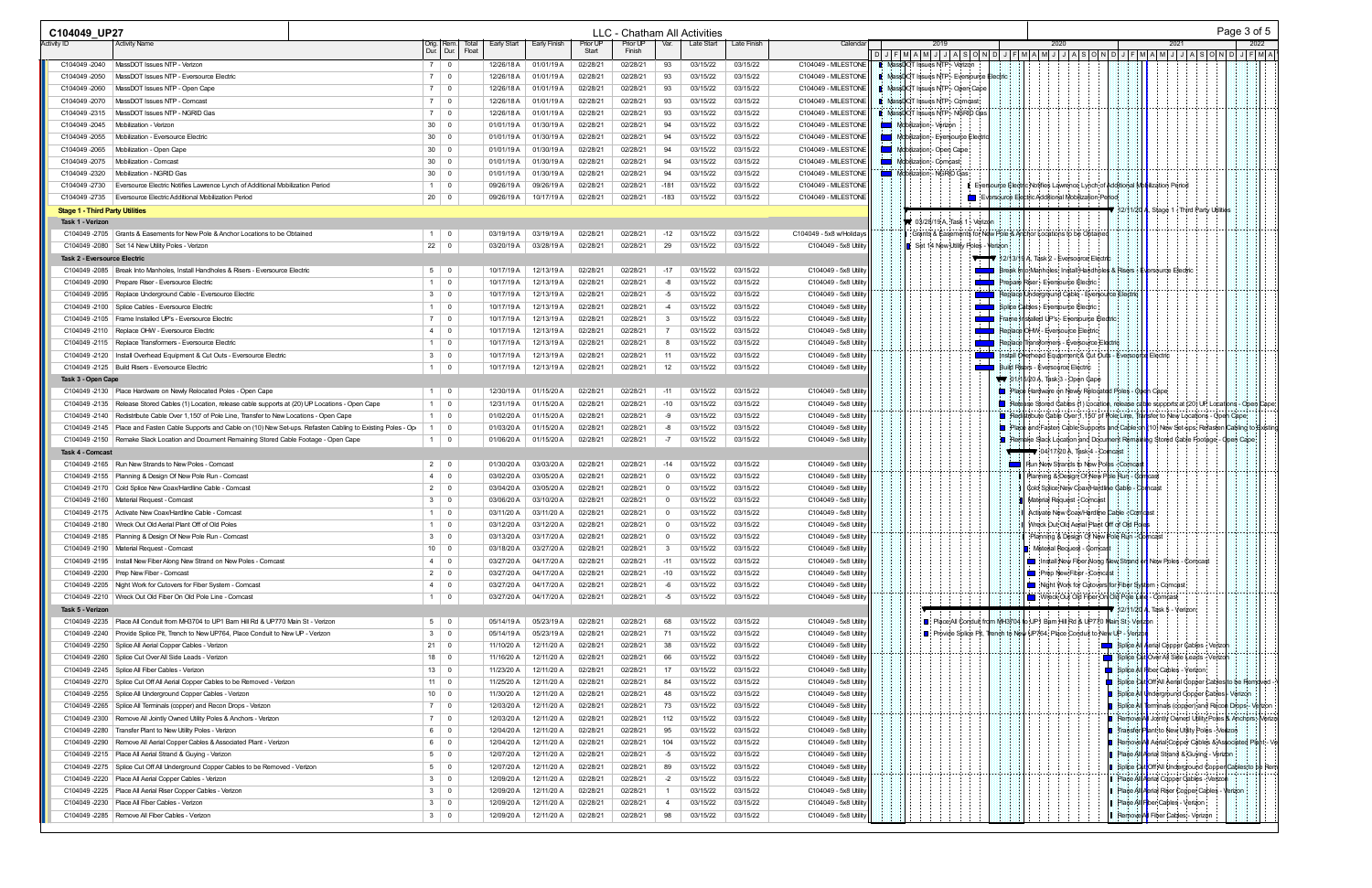|                                                          |                                                                                                                        |                             |                         |                          |                          |                      |                      |                                | LLC - Chatham All Activities |                      |                                                | Page 3 of 5                                                                                                        |
|----------------------------------------------------------|------------------------------------------------------------------------------------------------------------------------|-----------------------------|-------------------------|--------------------------|--------------------------|----------------------|----------------------|--------------------------------|------------------------------|----------------------|------------------------------------------------|--------------------------------------------------------------------------------------------------------------------|
| Activity ID                                              | Activity Name                                                                                                          | Orig.<br>Dur.               | Rem.<br>Dur.<br>Floa    | Early Start              | Early Finish             | Prior UP<br>Start    | Prior UP<br>Finish   | Var.                           | Late Start                   | Late Finish          | Calenda                                        | 2019<br>2020<br>2021<br>2022<br> D J F M A M J J A S O N D J F M A M J J A S O N D J F M A M J J A S O N D J F M A |
| C104049-2040                                             | MassDOT Issues NTP - Verizon                                                                                           | 70                          |                         | 12/26/18 A               | 01/01/19 A               | 02/28/21             | 02/28/21             | 93                             | 03/15/22                     | 03/15/22             | C104049 - MILESTONE                            | MassDOT Issues NTP - Verizon                                                                                       |
| C104049-2050                                             | MassDOT Issues NTP - Eversource Electric                                                                               | 7 0                         |                         | 12/26/18 A               | 01/01/19 A               | 02/28/21             | 02/28/21             | 93                             | 03/15/22                     | 03/15/22             | C104049 - MILESTONE                            | <b>I</b> MassDOT Issues NTP - Eversource Electric                                                                  |
| C104049-2060                                             | MassDOT Issues NTP - Open Cape                                                                                         | $7 \mid 0$                  |                         | 12/26/18 A               | 01/01/19 A               | 02/28/21             | 02/28/21             | 93                             | 03/15/22                     | 03/15/22             | C104049 - MILESTONE                            | <b>I</b> MassDOT Issues NTP - Open Cape                                                                            |
| C104049-2070                                             | MassDOT Issues NTP - Comcast                                                                                           | 7 0                         |                         | 12/26/18 A               | 01/01/19 A               | 02/28/21             | 02/28/21             | 93                             | 03/15/22                     | 03/15/22             | C104049 - MILESTONE                            | <b>I</b> MassDOT Issues NTP - Comcast                                                                              |
| C104049-2315                                             | MassDOT Issues NTP - NGRID Gas                                                                                         | 7 0                         |                         | 12/26/18 A               | 01/01/19 A               | 02/28/21             | 02/28/21             | 93                             | 03/15/22                     | 03/15/22             | C104049 - MILESTONE                            | <b>U</b> MassDOT Issues NTP - NGRID Gas                                                                            |
| C104049-2045                                             | Mobilization - Verizon                                                                                                 | $30 \mid 0$                 |                         | 01/01/19 A               | 01/30/19 A               | 02/28/2              | 02/28/21             | 94                             | 03/15/22                     | 03/15/22             | C104049 - MILESTONE                            | Mobilization - Verizon                                                                                             |
| C104049-2055                                             | Mobilization - Eversource Electric                                                                                     | $30 \mid 0$                 |                         | 01/01/19 A               | 01/30/19 A               | 02/28/21             | 02/28/21             | 94                             | 03/15/22                     | 03/15/22             | C104049 - MILESTONE                            | Mobilization - Eversource Electric                                                                                 |
| C104049-2065                                             | Mobilization - Open Cape                                                                                               | 30                          | $\overline{\mathbf{0}}$ | 01/01/19 A               | 01/30/19 A               | 02/28/21             | 02/28/21             | 94                             | 03/15/22                     | 03/15/22             | C104049 - MILESTONE                            | Mobilization - Open Cape                                                                                           |
| C104049-2075                                             | Mobilization - Comcast                                                                                                 | $30 \mid 0$                 |                         | 01/01/19 A               | 01/30/19 A               | 02/28/21             | 02/28/21             | 94                             | 03/15/22                     | 03/15/22             | C104049 - MILESTONE                            | Mdbilization - Comcast                                                                                             |
| C104049-2320                                             | Mobilization - NGRID Gas                                                                                               | $30 \mid 0$                 |                         | 01/01/19 A               | 01/30/19 A               | 02/28/21             | 02/28/21             | 94                             | 03/15/22                     | 03/15/22             | C104049 - MILESTONE                            | Mobilization - NGRID Gas                                                                                           |
| C104049-2730                                             | Eversource Electric Notifies Lawrence Lynch of Additional Mobilization Period                                          | $1 \vert$<br>$\overline{0}$ |                         | 09/26/19 A               | 09/26/19 A               | 02/28/21             | 02/28/21             | $-181$                         | 03/15/22                     | 03/15/22             | C104049 - MILESTONE                            | : Eversource Electric;Notifies Lawrence Lynch of Additional Mobilization Period                                    |
| C104049-2735                                             | Eversource Electric Additional Mobilization Period                                                                     | $20 \mid 0$                 |                         | 09/26/19 A               | 10/17/19 A               | 02/28/21             | 02/28/21             | $-183$                         | 03/15/22                     | 03/15/22             | C104049 - MILESTONE                            | Eversource Electric Additional Mobilization Period                                                                 |
| <b>Stage 1 - Third Party Utilities</b>                   |                                                                                                                        |                             |                         |                          |                          |                      |                      |                                |                              |                      |                                                | 12/11/20 A, Stage 1 - Third Party Utilities                                                                        |
| Task 1 - Verizon                                         |                                                                                                                        |                             |                         |                          |                          |                      |                      |                                |                              |                      |                                                | ₩ 03/28/19 A. Task 1 - Verizon                                                                                     |
|                                                          | C104049 -2705 Grants & Easements for New Pole & Anchor Locations to be Obtained                                        | $1 \quad 0$                 |                         | 03/19/19 A               | 03/19/19 A               | 02/28/21             | 02/28/21             | $-12$                          | 03/15/22                     | 03/15/22             | C104049 - 5x8 w/Holidavs                       | Grants & Easements for New Pole & Anchor Locations to be Obtained                                                  |
|                                                          | C104049 -2080   Set 14 New Utility Poles - Verizon                                                                     | $22 \mid 0$                 |                         | 03/20/19 A               | 03/28/19 A               | 02/28/21             | 02/28/21             | 29                             | 03/15/22                     | 03/15/22             | C104049 - 5x8 Utility                          | <b>I</b> : Set 14 New Utility Poles - Verizon                                                                      |
| <b>Task 2 - Eversource Electric</b>                      |                                                                                                                        |                             |                         |                          |                          |                      |                      |                                |                              |                      |                                                | 12/13/19 A, Task 2 - Eversource Electric                                                                           |
|                                                          | C104049-2085   Break Into Manholes, Install Handholes & Risers - Eversource Electric                                   | 5 0                         |                         | 10/17/19 A               | 12/13/19 A               | 02/28/21             | 02/28/21             | $-17$                          | 03/15/22                     | 03/15/22             | C104049 - 5x8 Utility                          | Break Into Manholes, Install Handholes & Risers + Eversource Electric                                              |
|                                                          | C104049-2090 Prepare Riser - Eversource Electric                                                                       | $1 \quad 0$                 |                         | 10/17/19 A               | 12/13/19 A               | 02/28/21             | 02/28/21             | -8                             | 03/15/22                     | 03/15/22             | C104049 - 5x8 Utility                          | Prepare Riser - Eversource Electric                                                                                |
|                                                          | C104049 -2095   Replace Underground Cable - Eversource Electric                                                        | $3 \mid 0$                  |                         | 10/17/19 A               | 12/13/19 A               | 02/28/21             | 02/28/21             | -5                             | 03/15/22                     | 03/15/22             | C104049 - 5x8 Utility                          | Replace Underground Cable - Eversource Electric                                                                    |
|                                                          | C104049 -2100   Splice Cables - Eversource Electric<br>C104049 -2105   Frame Installed UP's - Eversource Electric      | $1 \quad 0$                 |                         | 10/17/19 A               | 12/13/19 A               | 02/28/21             | 02/28/21             | $-4$<br>-3                     | 03/15/22                     | 03/15/22             | C104049 - 5x8 Utility                          | Splice Cables - Eversource Electric<br>Frame Installed UP's - Eversource Electric                                  |
|                                                          | C104049 -2110   Replace OHW - Eversource Electric                                                                      | 7 0<br>$4 \mid$             | $\overline{\mathbf{0}}$ | 10/17/19 A<br>10/17/19 A | 12/13/19 A<br>12/13/19 A | 02/28/21<br>02/28/21 | 02/28/21<br>02/28/21 |                                | 03/15/22<br>03/15/22         | 03/15/22<br>03/15/22 | C104049 - 5x8 Utility<br>C104049 - 5x8 Utility | Replace OHW - Eversource Electric                                                                                  |
|                                                          | C104049 -2115   Replace Transformers - Eversource Electric                                                             | $1 \quad 0$                 |                         | 10/17/19 A               | 12/13/19 A               | 02/28/21             | 02/28/21             | 8                              | 03/15/22                     | 03/15/22             | C104049 - 5x8 Utility                          | Replace Transformers - Eversource Electric                                                                         |
|                                                          | C104049-2120   Install Overhead Equipment & Cut Outs - Eversource Electric                                             | $3 \mid 0$                  |                         | 10/17/19 A               | 12/13/19 A               | 02/28/21             | 02/28/21             | 11                             | 03/15/22                     | 03/15/22             | C104049 - 5x8 Utility                          | Install Overhead Equipment & Cut Outs - Eversource Electric                                                        |
|                                                          | C104049 -2125   Build Risers - Eversource Electric                                                                     | $1 \quad 0$                 |                         | 10/17/19 A               | 12/13/19 A               | 02/28/21             | 02/28/21             | 12                             | 03/15/22                     | 03/15/22             | C104049 - 5x8 Utility                          | Build Risers - Eversource Electric                                                                                 |
| Task 3 - Open Cape                                       |                                                                                                                        |                             |                         |                          |                          |                      |                      |                                |                              |                      |                                                | 101/15/20 A, Task 3 - Open Cape                                                                                    |
|                                                          | C104049 -2130   Place Hardware on Newly Relocated Poles - Open Cape                                                    | 1 0                         |                         | 12/30/19 A               | 01/15/20 A               | 02/28/21             | 02/28/21             | $-11$                          | 03/15/22                     | 03/15/22             | C104049 - 5x8 Utility                          | Place Hardware on Newly Relocated Poles - Open Cape                                                                |
|                                                          | C104049 -2135   Release Stored Cables (1) Location, release cable supports at (20) UP Locations - Open Cape            | $1 \quad 0$                 |                         | 12/31/19 A               | 01/15/20 A               | 02/28/21             | 02/28/21             | $-10$                          | 03/15/22                     | 03/15/22             | C104049 - 5x8 Utility                          | Release Stored Cables (1) Location, release cable supports at (20) UP Locations - Open Cape                        |
|                                                          | C104049-2140   Redistribute Cable Over 1,150' of Pole Line, Transfer to New Locations - Open Cape                      | $1 \quad 0$                 |                         | 01/02/20 A               | 01/15/20 A               | 02/28/21             | 02/28/21             | -9                             | 03/15/22                     | 03/15/22             | C104049 - 5x8 Utility                          | Replistribute Cable Over 1,150' of Pole Line, Transfer to New Locations - Open Cape,                               |
|                                                          | C104049 -2145   Place and Fasten Cable Supports and Cable on (10) New Set-ups. Refasten Cabling to Existing Poles - Op | 1                           | $\overline{\mathbf{0}}$ | 01/03/20 A               | 01/15/20 A               | 02/28/21             | 02/28/21             | -8                             | 03/15/22                     | 03/15/22             | C104049 - 5x8 Utility                          | Place and Fasten Cable Supports and Cable on (10) New Set-ups. Refasten Cabling to Existin                         |
|                                                          | C104049 -2150 Remake Slack Location and Document Remaining Stored Cable Footage - Open Cape                            | $1 \quad 0$                 |                         | 01/06/20 A               | 01/15/20 A               | 02/28/21             | 02/28/21             | -7                             | 03/15/22                     | 03/15/22             | C104049 - 5x8 Utility                          | Remake Slack Location and Document Remaining Stored Cable Footage - Open Cape,                                     |
| <b>Task 4 - Comcast</b>                                  |                                                                                                                        |                             |                         |                          |                          |                      |                      |                                |                              |                      |                                                | $\blacktriangleright$ 04/17/20 A, Task 4 - Comcast                                                                 |
|                                                          | C104049-2165   Run New Strands to New Poles - Comcast                                                                  | $2 \mid 0$                  |                         | 01/30/20 A               | 03/03/20 A               | 02/28/21             | 02/28/21             | -14                            | 03/15/22                     | 03/15/22             | C104049 - 5x8 Utility                          | Run New Strands to New Poles - Comcas                                                                              |
|                                                          | C104049 -2155   Planning & Design Of New Pole Run - Comcast                                                            | $4 \mid 0$                  |                         | 03/02/20 A               | 03/05/20 A               | 02/28/21             | 02/28/21             | $\mathbf 0$                    | 03/15/22                     | 03/15/22             | C104049 - 5x8 Utility                          | Planning & Design Of New Pole Run - Comcast                                                                        |
|                                                          | C104049 -2170 Cold Splice New Coax/Hardline Cable - Comcast                                                            | $2 \mid 0$                  |                         | 03/04/20 A               | 03/05/20 A               | 02/28/21             | 02/28/21             | $\Omega$                       | 03/15/22                     | 03/15/22             | C104049 - 5x8 Utility                          | Cold Splice New Coax/Hardline Cable - Comcast                                                                      |
| C104049-2160   Material Request - Comcast                |                                                                                                                        | $3 \mid 0$                  |                         | 03/06/20 A               | 03/10/20 A               | 02/28/21             | 02/28/21             | $\Omega$                       | 03/15/22                     | 03/15/22             | C104049 - 5x8 Utility                          | Material Request - Comcast                                                                                         |
|                                                          | C104049 -2175   Activate New Coax/Hardline Cable - Comcast                                                             | $\overline{1}$              | $\Omega$                | 03/11/20 A               | 03/11/20 A               | 02/28/21             | 02/28/21             | $\Omega$                       | 03/15/22                     | 03/15/22             | C104049 - 5x8 Utility                          | Activate New Coax/Hardline Cable - Comcast                                                                         |
|                                                          | C104049 -2180   Wreck Out Old Aerial Plant Off of Old Poles                                                            | $1 \quad 0$                 |                         | 03/12/20 A               | 03/12/20 A               | 02/28/21             | 02/28/21             | 0                              | 03/15/22                     | 03/15/22             | C104049 - 5x8 Utility                          | Wreck Out Old Aerial Plant Off of Old Poles                                                                        |
|                                                          | C104049 -2185   Planning & Design Of New Pole Run - Comcast                                                            | $3 \mid 0$                  |                         | 03/13/20 A               | 03/17/20 A               | 02/28/21             | 02/28/21             | $\mathbf 0$                    | 03/15/22                     | 03/15/22             | C104049 - 5x8 Utility                          | Planning & Design Of New Pole Run - Comcast                                                                        |
| C104049 -2190   Material Request - Comcast               |                                                                                                                        | $10 \mid 0$                 |                         | 03/18/20 A               | 03/27/20 A               | 02/28/21             | 02/28/21             | -3                             | 03/15/22                     | 03/15/22             | C104049 - 5x8 Utility                          | <b>D</b> : Material Request - Comcast                                                                              |
|                                                          | C104049 -2195   Install New Fiber Along New Strand on New Poles - Comcast                                              | 4 0                         |                         | 03/27/20 A               | 04/17/20 A               | 02/28/21             | 02/28/21             | $-11$                          | 03/15/22                     | 03/15/22             | C104049 - 5x8 Utility                          | Install New Fiber Along New Strand on New Poles - Comcast                                                          |
| C104049 -2200   Prep New Fiber - Comcast                 |                                                                                                                        | $2 \mid 0$                  |                         | 03/27/20 A               | 04/17/20 A               | 02/28/21             | 02/28/21             | $-10$                          | 03/15/22                     | 03/15/22             | C104049 - 5x8 Utility                          | <b>Prep New Fiber - Comcast</b>                                                                                    |
|                                                          | C104049 -2205   Night Work for Cutovers for Fiber System - Comcast                                                     | $4 \mid 0$                  |                         | 03/27/20 A               | 04/17/20 A               | 02/28/21             | 02/28/21             | -6                             | 03/15/22                     | 03/15/22             | C104049 - 5x8 Utility                          | Night Work for Cutovers for Fiber System - Comcast                                                                 |
|                                                          | C104049 -2210   Wreck Out Old Fiber On Old Pole Line - Comcast                                                         | $1 \quad 0$                 |                         | 03/27/20 A               | 04/17/20 A               | 02/28/21             | 02/28/21             | $-5$                           | 03/15/22                     | 03/15/22             | C104049 - 5x8 Utility                          | Wreck Out Old Fiber On Old Pole Line - Compast                                                                     |
| Task 5 - Verizon                                         |                                                                                                                        |                             |                         |                          |                          |                      |                      |                                |                              |                      |                                                | 12/11/20 A. Task 5 - Verizon                                                                                       |
|                                                          | C104049 -2235   Place All Conduit from MH3704 to UP1 Barn Hill Rd & UP770 Main St - Verizon                            | $5 \mid 0$                  |                         | 05/14/19 A               | 05/23/19 A               | 02/28/21             | 02/28/21             | 68                             | 03/15/22                     | 03/15/22             | C104049 - 5x8 Utility                          | Place All Conduit from MH3704 to UP1 Bam Hill Rd & UP770 Main St - Verizon                                         |
|                                                          | C104049 -2240 Provide Splice Pit, Trench to New UP764, Place Conduit to New UP - Verizon                               | $3 \mid 0$                  |                         | 05/14/19 A               | 05/23/19 A               | 02/28/21             | 02/28/21             | 71                             | 03/15/22                     | 03/15/22             | C104049 - 5x8 Utility                          | Provide Splice Pit, Trench to New UP764, Place Conduit to New UP - Verizo                                          |
|                                                          | C104049 -2250   Splice All Aerial Copper Cables - Verizon                                                              | $21 \quad 0$                |                         | 11/10/20 A               | 12/11/20 A               | 02/28/21             | 02/28/21             | 38                             | 03/15/22                     | 03/15/22             | C104049 - 5x8 Utility                          | Splice All Aerial Copper Cables + Verizor                                                                          |
|                                                          | C104049 -2260 Splice Cut Over All Side Leads - Verizon                                                                 | $18$ 0                      |                         | 11/16/20 A               | 12/11/20 A               | 02/28/21             | 02/28/21             | 66                             | 03/15/22                     | 03/15/22             | C104049 - 5x8 Utility                          | Splice Cut Over All Side Leads - Verizon                                                                           |
|                                                          | C104049 -2245   Splice All Fiber Cables - Verizon                                                                      | $13 \mid 0$                 |                         | 11/23/20 A               | 12/11/20 A               | 02/28/21             | 02/28/21             | 17                             | 03/15/22                     | 03/15/22             | C104049 - 5x8 Utility                          | Splice All Fiber Cables - Verizon                                                                                  |
|                                                          | C104049 -2270   Splice Cut Off All Aerial Copper Cables to be Removed - Verizon                                        | $11 \ 0$                    |                         | 11/25/20 A               | 12/11/20 A               | 02/28/21             | 02/28/21             | 84                             | 03/15/22                     | 03/15/22             | C104049 - 5x8 Utility                          | Splice Cut Off All Aerial Copper Cables to be Removed -                                                            |
|                                                          | C104049 -2255   Splice All Underground Copper Cables - Verizon                                                         | $10 \mid 0$                 |                         | 11/30/20 A               | 12/11/20 A               | 02/28/21             | 02/28/21             | 48                             | 03/15/22                     | 03/15/22             | C104049 - 5x8 Utility                          | Splice All Underground Copper Cables - Verizon                                                                     |
|                                                          | C104049 -2265   Splice All Terminals (copper) and Recon Drops - Verizon                                                | 7 0                         |                         | 12/03/20 A               | 12/11/20 A               | 02/28/21             | 02/28/21             | 73                             | 03/15/22                     | 03/15/22             | C104049 - 5x8 Utility                          | Splice All Terminals (copper) and Recon Drops - Verizon                                                            |
|                                                          | C104049 -2300   Remove All Jointly Owned Utility Poles & Anchors - Verizon                                             | 7 0                         |                         | 12/03/20 A               | 12/11/20 A               | 02/28/21             | 02/28/21             | 112                            | 03/15/22                     | 03/15/22             | C104049 - 5x8 Utility                          | Remove All Jointly Owned Utility Poles & Anchors: - Verizo                                                         |
|                                                          | C104049 -2280   Transfer Plant to New Utility Poles - Verizon                                                          | $6 \mid 0$                  |                         | 12/04/20 A               | 12/11/20 A               | 02/28/21             | 02/28/21             | 95                             | 03/15/22                     | 03/15/22             | C104049 - 5x8 Utility                          | Transfer Plant to New Utility Poles - Verizon                                                                      |
|                                                          | C104049 -2290   Remove All Aerial Copper Cables & Associated Plant - Verizon                                           | 6 0                         |                         | 12/04/20 A               | 12/11/20 A               | 02/28/21             | 02/28/21             | 104                            | 03/15/22                     | 03/15/22             | C104049 - 5x8 Utility                          | Remove All Aerial Copper Cables & Associated Plant - V                                                             |
|                                                          | C104049 -2215   Place All Aerial Strand & Guying - Verizon                                                             | $5 \mid 0$                  |                         | 12/07/20 A               | 12/11/20 A               | 02/28/21             | 02/28/21             | $-5$                           | 03/15/22                     | 03/15/22             | C104049 - 5x8 Utility                          | Place All Aerial Strand & Guying - Verizon                                                                         |
|                                                          | C104049 -2275   Splice Cut Off All Underground Copper Cables to be Removed - Verizon                                   | $5 \mid 0$                  |                         | 12/07/20 A               | 12/11/20 A               | 02/28/21             | 02/28/21             | 89                             | 03/15/22                     | 03/15/22             | C104049 - 5x8 Utility                          | Splice Cut Off All Underground Copper Cables to be Rem                                                             |
|                                                          |                                                                                                                        | $3 \mid 0$                  |                         | 12/09/20 A               | 12/11/20 A               | 02/28/21             | 02/28/21             | $-2$                           | 03/15/22                     | 03/15/22             | C104049 - 5x8 Utility                          | Place All Aerial Copper Cables - Verizol                                                                           |
| C104049 -2220   Place All Aerial Copper Cables - Verizon |                                                                                                                        |                             |                         |                          |                          |                      |                      |                                |                              |                      |                                                |                                                                                                                    |
| C104049 -2230   Place All Fiber Cables - Verizon         | C104049 -2225   Place All Aerial Riser Copper Cables - Verizon                                                         | $3 \mid 0$<br>$3 \mid 0$    |                         | 12/09/20 A<br>12/09/20 A | 12/11/20 A<br>12/11/20 A | 02/28/21<br>02/28/21 | 02/28/21<br>02/28/21 | $\mathbf{1}$<br>$\overline{4}$ | 03/15/22<br>03/15/22         | 03/15/22<br>03/15/22 | C104049 - 5x8 Utility<br>C104049 - 5x8 Utility | Place All Aerial Riser Copper Cables - Verizon<br>Place All Fiber Cables - Verizon                                 |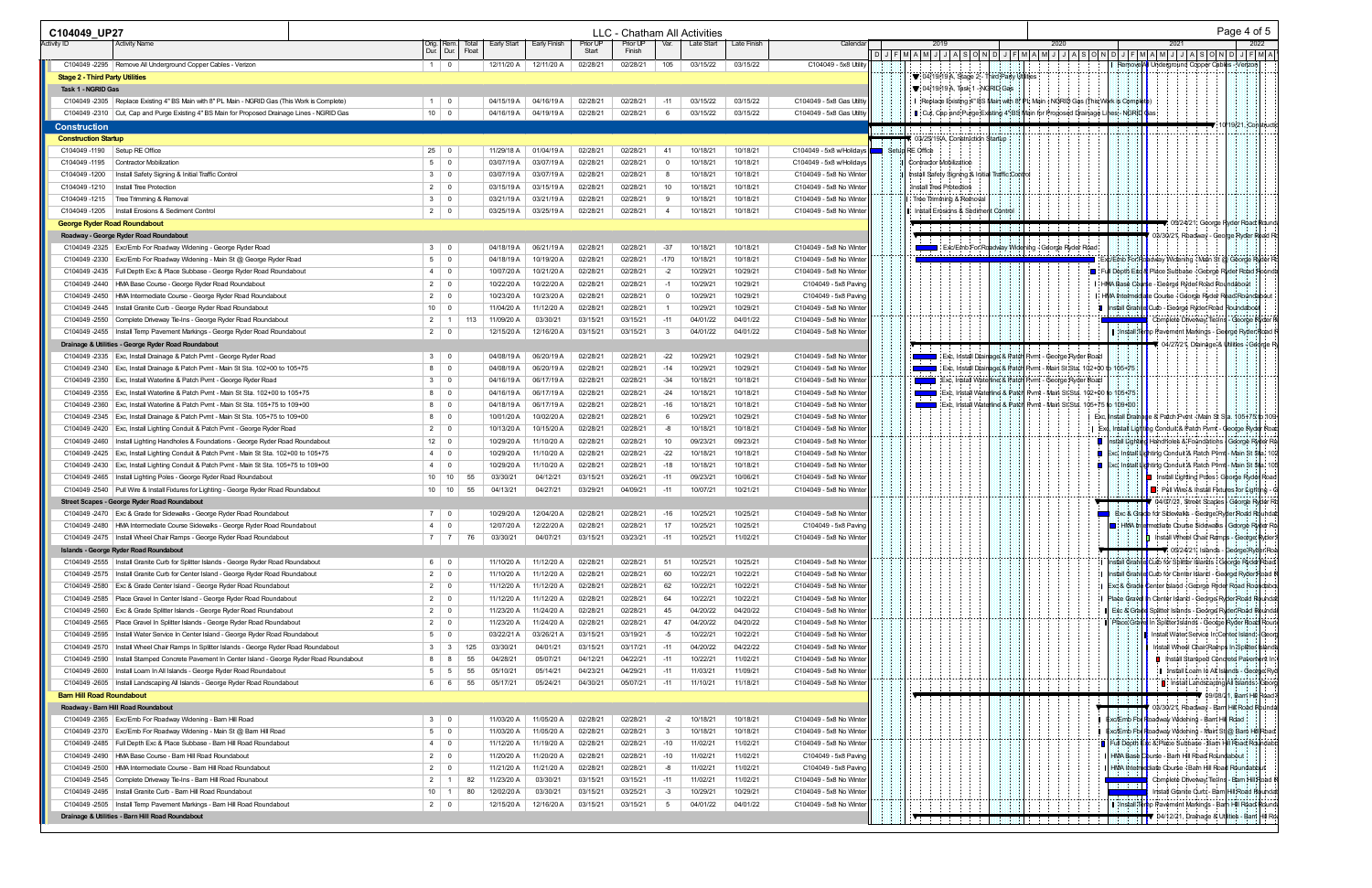| C104049 UP27                                                                                                                                 |                                 |                                                    | LLC - Chatham All Activities                                                 |                                                                            |                                                                                  | Page 4 of 5                                                                                                |
|----------------------------------------------------------------------------------------------------------------------------------------------|---------------------------------|----------------------------------------------------|------------------------------------------------------------------------------|----------------------------------------------------------------------------|----------------------------------------------------------------------------------|------------------------------------------------------------------------------------------------------------|
| Activity ID<br><b>Activity Name</b>                                                                                                          | Iotal<br>Dur. Dur.<br>Float     | Early Finish<br>Early Start                        | Prior UP<br>Var.<br>Late Start<br>Prior UP<br>Finish<br>Start                | Late Finish<br>Calenda                                                     | 2020                                                                             | 2022                                                                                                       |
|                                                                                                                                              |                                 |                                                    |                                                                              |                                                                            | <u>DJJFMAMJJJASONDJJFMAMJJASONDJJFMAMJJJASONDJJFMAMJJJASONDJJFMA</u>             |                                                                                                            |
| C104049 -2295   Remove All Underground Copper Cables - Verizon                                                                               | $1 \quad 0$                     | 12/11/20 A 12/11/20 A                              | 02/28/21<br>02/28/21<br>$\vert$ 105<br>03/15/22                              | 03/15/22<br>C104049 - 5x8 Utility                                          | : ▼: 04/19/19 A, Stage 2 - Third Party Utilities                                 | Remove<br>Underground Capper Cables - Verizon                                                              |
| <b>Stage 2 - Third Party Utilities</b><br>Task 1 - NGRID Gas                                                                                 |                                 |                                                    |                                                                              |                                                                            | : ▼: 04/19/19 A, Task 1 - NGRID Gas                                              |                                                                                                            |
| C104049 -2305   Replace Existing 4" BS Main with 8" PL Main - NGRID Gas (This Work is Complete)                                              | $1 \quad 0$                     | 04/15/19 A<br>04/16/19 A                           | 02/28/21<br>02/28/21<br>$-11$<br>03/15/22                                    | 03/15/22<br>C104049 - 5x8 Gas Utiltiy                                      | Replace Existing 4" BS Main with 8" PL Main + NGRID Gas (This Work is Completed) |                                                                                                            |
| C104049 -2310   Cut, Cap and Purge Existing 4" BS Main for Proposed Drainage Lines - NGRID Gas                                               | $10 \mid 0$                     | 04/16/19 A 04/19/19 A                              | 02/28/21<br>02/28/21<br>03/15/22<br>- 6                                      | 03/15/22<br>C104049 - 5x8 Gas Utilti                                       | Cut, Cap and Purge Existing 4" BS Main for Proposed Drainage Lines - NGRID Cas;  |                                                                                                            |
| <b>Construction</b>                                                                                                                          |                                 |                                                    |                                                                              |                                                                            |                                                                                  | 19/21, Constructi                                                                                          |
| <b>Construction Startup</b>                                                                                                                  |                                 |                                                    |                                                                              |                                                                            | 03/25/19A, Construction Startup                                                  |                                                                                                            |
| C104049-1190<br>Setup RE Office                                                                                                              | $25 \mid 0$                     | 01/04/19 A<br>11/29/18 A                           | 02/28/21<br>02/28/21<br>10/18/21<br>-41                                      | 10/18/21<br>C104049 - 5x8 w/Holidays                                       | Setup RE Office<br>a sa B                                                        |                                                                                                            |
| C104049-1195   Contractor Mobilization                                                                                                       | $5 \mid 0$                      | 03/07/19 A<br>03/07/19 A                           | 02/28/21<br>02/28/21<br>10/18/21<br>- 0                                      | 10/18/21<br>C104049 - 5x8 w/Holidays                                       | Contractor Mobilization                                                          |                                                                                                            |
| C104049 -1200   Install Safety Signing & Initial Traffic Control                                                                             | $3 \mid 0$                      | 03/07/19 A<br>03/07/19 A                           | 02/28/21<br>02/28/21<br>10/18/21<br>- 8                                      | 10/18/21<br>C104049 - 5x8 No Winter                                        | Install Safety Signing & Initial Traffic Control                                 |                                                                                                            |
| C104049-1210<br>Install Tree Protection                                                                                                      | $2 \mid 0$                      | 03/15/19 A<br>03/15/19 A                           | 02/28/21<br>10<br>02/28/21<br>10/18/2                                        | 10/18/21<br>C104049 - 5x8 No Winter                                        | Install Tree Protection                                                          |                                                                                                            |
| C104049 -1215   Tree Trimming & Removal                                                                                                      | $3 \mid 0$                      | 03/21/19 A<br>03/21/19 A                           | 02/28/21<br>02/28/21<br>10/18/21                                             | 10/18/21<br>C104049 - 5x8 No Winter                                        | Tree Trimming & Remova                                                           |                                                                                                            |
| C104049 -1205   Install Erosions & Sediment Control                                                                                          | $2 \mid 0$                      | 03/25/19 A<br>03/25/19 A                           | 02/28/21<br>02/28/21<br>10/18/21                                             | 10/18/21<br>C104049 - 5x8 No Winter                                        | Install Erosions & Sediment Control                                              |                                                                                                            |
| <b>George Ryder Road Roundabout</b>                                                                                                          |                                 |                                                    |                                                                              |                                                                            |                                                                                  | ▼ 05/24/21, George Ryder Road Round                                                                        |
| Roadway - George Ryder Road Roundabout                                                                                                       |                                 |                                                    |                                                                              |                                                                            |                                                                                  | 03/30/21, Roadway - George Ryder Road Ro                                                                   |
| C104049 -2325   Exc/Emb For Roadway Widening - George Ryder Road                                                                             | $3 \mid 0$                      | 04/18/19 A<br>06/21/19 A                           | $-37$<br>02/28/21<br>02/28/21<br>10/18/21                                    | 10/18/21<br>C104049 - 5x8 No Winter                                        | Exc/Emb For Roadway Widening - George Ryder Road                                 |                                                                                                            |
| C104049 -2330   Exc/Emb For Roadway Widening - Main St @ George Ryder Road                                                                   | $5 \mid 0$                      | 04/18/19 A<br>10/19/20 A                           | 02/28/21<br>02/28/21<br>$-170$<br>10/18/21                                   | 10/18/21<br>C104049 - 5x8 No Winter                                        |                                                                                  | :xc/Emb For Roadway Widening - Main St @ Georde Ryder R                                                    |
| C104049-2435   Full Depth Exc & Place Subbase - George Ryder Road Roundabout                                                                 | 4 0                             | 10/21/20 A<br>10/07/20 A                           | 02/28/21<br>02/28/21<br>10/29/21<br>$-2$                                     | 10/29/21<br>C104049 - 5x8 No Winter                                        | ¦∎∶ F                                                                            | III Depth Exd & Place Subbase - George Ryder Road Rounda                                                   |
| C104049 -2440   HMA Base Course - George Ryder Road Roundabout                                                                               | $2 \mid 0$                      | 10/22/20 A<br>10/22/20 A                           | 02/28/21<br>02/28/21<br>10/29/21<br>-1                                       | 10/29/21<br>C104049 - 5x8 Paving                                           |                                                                                  | HMA Base Course - George Ryder Road Roundabout                                                             |
| C104049 -2450   HMA Intermediate Course - George Ryder Road Roundabout                                                                       | $2 \mid 0$                      | 10/23/20 A<br>10/23/20 A                           | 02/28/21<br>02/28/21<br>10/29/21<br>$\mathbf{0}$                             | 10/29/21<br>C104049 - 5x8 Paving                                           |                                                                                  | HMA Intermediate Course - George Ryder Road Roundabout                                                     |
| C104049 -2445   Install Granite Curb - George Ryder Road Roundabout                                                                          | $10 \mid 0$                     | 11/04/20 A<br>11/12/20 A                           | 02/28/21<br>02/28/21<br>10/29/21                                             | 10/29/21<br>C104049 - 5x8 No Winter                                        |                                                                                  | Install Granite Culb - George Ryder Road Roundabol                                                         |
| C104049 -2550   Complete Driveway Tie-Ins - George Ryder Road Roundabout                                                                     | $2 \mid 1$<br>113               | 03/30/21<br>11/09/20 A                             | 03/15/21<br>03/15/21<br>04/01/22<br>$-11$                                    | 04/01/22<br>C104049 - 5x8 No Winter                                        |                                                                                  | Complete Driveway Tie-Ins - George Ryder R                                                                 |
| C104049 -2455   Install Temp Pavement Markings - George Ryder Road Roundabout                                                                | $2 \mid 0$                      | 12/15/20 A<br>12/16/20 A                           | 03/15/21<br>03/15/21<br>04/01/22                                             | 04/01/22<br>C104049 - 5x8 No Winter                                        |                                                                                  | hp Pavement Markings - George Ryder Road<br>l ⊹lnstall¦                                                    |
| Drainage & Utilities - George Ryder Road Roundabout                                                                                          |                                 |                                                    |                                                                              |                                                                            |                                                                                  | 04/27/21, Drainage & Utilities - George R                                                                  |
| C104049 -2335   Exc, Install Drainage & Patch Pvmt - George Ryder Road                                                                       | $3 \mid 0$                      | 04/08/19 A<br>06/20/19 A                           | $-22$<br>02/28/21<br>02/28/21<br>10/29/21                                    | 10/29/21<br>C104049 - 5x8 No Winter                                        | Exc, Install Drainage & Patch Pvmt - George Ryder Road                           |                                                                                                            |
| C104049 -2340   Exc, Install Drainage & Patch Pvmt - Main St Sta. 102+00 to 105+75                                                           | 8 0                             | 04/08/19 A<br>06/20/19 A                           | 02/28/21<br>02/28/21<br>$-14$<br>10/29/21                                    | 10/29/21<br>C104049 - 5x8 No Winter                                        | Exc, Install Drainage & Patch Pvmt - Main St Sta. 102+00 to 105+75               |                                                                                                            |
| C104049 -2350   Exc, Install Waterline & Patch Pvmt - George Ryder Road                                                                      | $3 \mid 0$                      | 04/16/19 A<br>06/17/19 A                           | 02/28/21<br>02/28/21<br>$-34$<br>10/18/21                                    | 10/18/21<br>C104049 - 5x8 No Winter                                        | Exc, Install Waterline & Patch Pvmt - George Ryder Road                          |                                                                                                            |
| C104049 -2355   Exc, Install Waterline & Patch Pvmt - Main St Sta. 102+00 to 105+75                                                          | 8 0                             | 04/16/19 A<br>06/17/19 A                           | 02/28/21<br>02/28/21<br>$-24$<br>10/18/21                                    | 10/18/21<br>C104049 - 5x8 No Winter                                        | Exc, Install Waterline & Patch Pvmt - Main St Sta. 102+00 to 105+75              |                                                                                                            |
| C104049 -2360   Exc, Install Waterline & Patch Pvmt - Main St Sta. 105+75 to 109+00                                                          | $8 \mid 0$                      | 04/18/19 A<br>06/17/19 A                           | 02/28/21<br>02/28/21<br>$-16$<br>10/18/21                                    | 10/18/21<br>C104049 - 5x8 No Winter                                        | Exc, Install Waterline & Patch Pvmt - Main St Sta. 105+75                        | $\frac{1}{10}$ 109+00                                                                                      |
| C104049 -2345   Exc, Install Drainage & Patch Pvmt - Main St Sta. $105+75$ to $109+00$                                                       | 8 0                             | 10/01/20 A<br>10/02/20 A                           | 02/28/21<br>02/28/21<br>10/29/21                                             | 10/29/21<br>C104049 - 5x8 No Winter                                        |                                                                                  | Exc, Install Drainage & Patch Pvmt - Main St Sta. 105+75 to 109                                            |
| C104049 -2420   Exc, Install Lighting Conduit & Patch Pvmt - George Ryder Road                                                               | $2 \mid 0$                      | 10/13/20 A<br>10/15/20 A                           | 02/28/21<br>02/28/21<br>10/18/21<br>-8                                       | 10/18/21<br>C104049 - 5x8 No Winte                                         | L E:                                                                             | Install Lighting Conduit & Patch Pvmt - George Ryder Road                                                  |
| C104049 -2460   Install Lighting Handholes & Foundations - George Ryder Road Roundabout                                                      | $12 \mid 0$                     | 11/10/20 A<br>10/29/20 A                           | 02/28/21<br>02/28/21<br>10<br>09/23/21                                       | 09/23/21<br>C104049 - 5x8 No Winter                                        |                                                                                  | Install Lighting Handholes & Foundations   George Ryder Ro                                                 |
| C104049 -2425   Exc, Install Lighting Conduit & Patch Pvmt - Main St Sta. 102+00 to 105+75                                                   | 4 0                             | 10/29/20 A<br>11/10/20 A                           | 02/28/21<br>$-22$<br>02/28/21<br>10/18/21                                    | 10/18/21<br>C104049 - 5x8 No Winter                                        |                                                                                  | Exc, Install Li <mark>d</mark> hting Conduit & Patch Pl/mt - Main St Sta. 102                              |
| C104049 -2430   Exc, Install Lighting Conduit & Patch Pvmt - Main St Sta. 105+75 to 109+00                                                   | 4 0                             | 10/29/20 A<br>11/10/20 A                           | 02/28/21<br>02/28/21<br>$-18$<br>10/18/21                                    | 10/18/21<br>C104049 - 5x8 No Winter                                        |                                                                                  | Exc, Install Lighting Conduit & Patch Pvmt - Main St Sta. 105                                              |
| C104049 -2465   Install Lighting Poles - George Ryder Road Roundabout                                                                        | $10 \mid 10$<br>55              | 03/30/21<br>04/12/21                               | 03/15/21<br>03/26/21<br>$-11$<br>09/23/21                                    | 10/06/21<br>C104049 - 5x8 No Winter                                        |                                                                                  | Install Lighting Poles - George Ryder Road                                                                 |
| C104049 -2540   Pull Wire & Install Fixtures for Lighting - George Ryder Road Roundabout                                                     | $10 \mid 10$<br>55              | 04/27/21<br>04/13/21                               | 03/29/21<br>04/09/21<br>10/07/21<br>$-11$                                    | 10/21/21<br>C104049 - 5x8 No Winte                                         |                                                                                  | ■ Pull Wire & Install Fixtures for Lighting                                                                |
| Street Scapes - George Ryder Road Roundabout                                                                                                 |                                 |                                                    |                                                                              |                                                                            |                                                                                  | 04/07/21, Street Scapes - George Ryder R                                                                   |
| C104049-2470   Exc & Grade for Sidewalks - George Ryder Road Roundabout                                                                      | 7 0                             | 10/29/20 A<br>12/04/20 A                           | 02/28/21<br>02/28/21<br>-16<br>10/25/21                                      | 10/25/21<br>C104049 - 5x8 No Winter                                        |                                                                                  | Exc & Grade for Sidewalks - George Ryder Road Roundal                                                      |
| C104049 -2480   HMA Intermediate Course Sidewalks - George Ryder Road Roundabout                                                             | 4 0                             | 12/07/20 A<br>12/22/20 A                           | 02/28/21<br>02/28/21<br>17<br>10/25/21                                       | 10/25/21<br>C104049 - 5x8 Paving                                           |                                                                                  | ■ HIMA Intermediate Course Sidewalks   George Ryder Ro                                                     |
| C104049 -2475   Install Wheel Chair Ramps - George Ryder Road Roundabout                                                                     | 7 7 7 7 7 7 7 1                 | 04/07/21<br>03/30/21                               | 03/23/21<br>03/15/21<br>$-11$<br>10/25/21                                    | 11/02/21<br>C104049 - 5x8 No Winter                                        |                                                                                  | Install Wheel Chair Ramps - George Ryder                                                                   |
| <b>Islands - George Ryder Road Roundabout</b>                                                                                                |                                 |                                                    |                                                                              |                                                                            |                                                                                  | ▼ 05/24/21, Islands - George Ryder Roa                                                                     |
| C104049 -2555   Install Granite Curb for Splitter Islands - George Ryder Road Roundabout                                                     | 6 0                             | 11/10/20 A<br>11/12/20 A                           | 02/28/21<br>02/28/21<br>51<br>10/25/21                                       | 10/25/21<br>C104049 - 5x8 No Winter                                        |                                                                                  | Install Grahite Culb for Splitter Islands - George Ryder Road                                              |
| C104049 -2575   Install Granite Curb for Center Island - George Ryder Road Roundabout                                                        | $2 \mid 0$                      | 11/10/20 A<br>11/12/20 A                           | 02/28/21<br>02/28/21<br>60<br>10/22/21                                       | 10/22/21<br>C104049 - 5x8 No Winter                                        |                                                                                  | Install Grahite Curb for Center Island - George Ryder Road I                                               |
| C104049 -2580   Exc & Grade Center Island - George Ryder Road Roundabout                                                                     | $2 \mid 0$                      | 11/12/20 A<br>11/12/20 A                           | 02/28/21<br>02/28/21<br>62<br>10/22/21                                       | 10/22/21<br>C104049 - 5x8 No Winter                                        |                                                                                  | Exd & Grade Center Island - George Ryder Road Roundabd                                                     |
| C104049 -2585   Place Gravel In Center Island - George Ryder Road Roundabout                                                                 | $2 \mid 0$                      | 11/12/20 A<br>11/12/20 A                           | 02/28/21<br>02/28/21<br>64<br>10/22/21                                       | 10/22/21<br>C104049 - 5x8 No Winter                                        |                                                                                  | Place Gravel in Center Island - George Ryder Road Roundal                                                  |
| C104049 -2560   Exc & Grade Splitter Islands - George Ryder Road Roundabout                                                                  | $2 \mid 0$                      | 11/23/20 A<br>11/24/20 A                           | 02/28/21<br>02/28/21<br>45<br>04/20/22                                       | 04/20/22<br>C104049 - 5x8 No Winter                                        |                                                                                  | Splitter Islands - George Ryder Road Rounda<br>Exc & Gra                                                   |
| C104049 -2565   Place Gravel In Splitter Islands - George Ryder Road Roundabout                                                              | $2 \mid 0$                      | 11/23/20 A<br>11/24/20 A                           | 02/28/21<br>02/28/21<br>47<br>04/20/22                                       | 04/20/22<br>C104049 - 5x8 No Winter                                        |                                                                                  | In Splitter Islands - George Ryder Road Roun<br><b>Place Grave</b>                                         |
| C104049 -2595   Install Water Service In Center Island - George Ryder Road Roundabout                                                        | $5 \mid 0$                      | 03/22/21 A<br>03/26/21 A                           | 10/22/21<br>03/15/21<br>03/19/21<br>$-5$                                     | 10/22/21<br>C104049 - 5x8 No Winter                                        |                                                                                  | Install Water Service In Center Island - Geord                                                             |
| C104049 -2570   Install Wheel Chair Ramps In Splitter Islands - George Ryder Road Roundabout                                                 | $3 \mid 3$<br>125               | 04/01/21<br>03/30/21                               | 03/17/21<br>03/15/21<br>04/20/22<br>$-11$                                    | 04/22/22<br>C104049 - 5x8 No Winter                                        |                                                                                  | Install Wheel Chair Ramps In Splitter Islands                                                              |
| C104049 -2590   Install Stamped Concrete Pavement In Center Island - George Ryder Road Roundabout                                            | $8 \mid 8$<br>55                | 05/07/21<br>04/28/21                               | 04/22/21<br>04/12/21<br>$-11$<br>10/22/21                                    | 11/02/21<br>C104049 - 5x8 No Winter                                        |                                                                                  | ■ Install Stamped Condrete Pavement In                                                                     |
| C104049 -2600   Install Loam In All Islands - George Ryder Road Roundabout                                                                   | $5 \mid 5$<br>55                | 05/14/21<br>05/10/21                               | 04/23/21<br>04/29/21<br>11/03/21<br>$-11$                                    | 11/09/21<br>C104049 - 5x8 No Winter                                        |                                                                                  | I Install Loam In All Islands - George Ryc                                                                 |
| C104049 -2605   Install Landscaping All Islands - George Ryder Road Roundabout                                                               | 55<br>6 6                       | 05/17/21<br>05/24/21                               | 04/30/21<br>05/07/21<br>11/10/21<br>$-11$                                    | 11/18/21<br>C104049 - 5x8 No Winter                                        |                                                                                  | I Install Landscaping All Islands - Georg<br>$\blacktriangledown$ 09/08/21, Bam Hill Road.                 |
| <b>Bam Hill Road Roundabout</b>                                                                                                              |                                 |                                                    |                                                                              |                                                                            |                                                                                  |                                                                                                            |
| Roadway - Barn Hill Road Roundabout                                                                                                          |                                 |                                                    |                                                                              |                                                                            |                                                                                  | 03/30/21, Roadway - Barri Hill Road Rounda                                                                 |
| C104049 -2365   Exc/Emb For Roadway Widening - Bam Hill Road                                                                                 | $3 \mid 0$                      | 11/05/20 A<br>11/03/20 A                           | 02/28/21<br>02/28/21<br>$-2$<br>10/18/21                                     | C104049 - 5x8 No Winter<br>10/18/21                                        |                                                                                  | Exc/Emb For Roadway Widening - Bam Hill Road                                                               |
| C104049 -2370   Exc/Emb For Roadway Widening - Main St @ Bam Hill Road                                                                       | $5 \quad 0$                     | 11/03/20 A<br>11/05/20 A                           | 02/28/21<br>02/28/21<br>$\mathbf{3}$<br>10/18/21                             | 10/18/21<br>C104049 - 5x8 No Winter                                        |                                                                                  | Exc/Emb For Roadway Widening - Main St @ Barn Hill Roa                                                     |
| C104049 -2485   Full Depth Exc & Place Subbase - Bam Hill Road Roundabout                                                                    | $4 \mid 0$                      | 11/19/20 A<br>11/12/20 A                           | 02/28/21<br>02/28/21<br>$-10$<br>11/02/21                                    | 11/02/21<br>C104049 - 5x8 No Winter                                        |                                                                                  | Full Depth Exc & Place Subbase - Barn Hill Road Roundabo                                                   |
| C104049 -2490   HMA Base Course - Bam Hill Road Roundabout                                                                                   | $2 \mid 0$                      | 11/20/20 A<br>11/20/20 A                           | 02/28/21<br>02/28/21<br>11/02/21<br>$-10$                                    | 11/02/21<br>C104049 - 5x8 Paving                                           |                                                                                  | HMA Base Oburse - Bam Hill Road Roundabout                                                                 |
| C104049 -2500   HMA Intermediate Course - Barn Hill Road Roundabout                                                                          | $2 \mid 0$                      | 11/21/20 A<br>11/21/20 A                           | 02/28/21<br>02/28/21<br>11/02/21<br>-8                                       | 11/02/21<br>C104049 - 5x8 Paving<br>C104049 - 5x8 No Winter                |                                                                                  | HMA Intermediate Course - Barn Hill Road Roundabout                                                        |
|                                                                                                                                              | $2 \mid 1$<br>82                | 03/30/21<br>11/23/20 A                             | 03/15/21<br>03/15/21<br>$-11$<br>11/02/21                                    | 11/02/21                                                                   |                                                                                  | Complete Driveway Tie-Ins - Bam Hill Road                                                                  |
| C104049 -2545   Complete Driveway Tie-Ins - Barn Hill Road Rounabout                                                                         |                                 |                                                    |                                                                              |                                                                            |                                                                                  |                                                                                                            |
| C104049 -2495   Install Granite Curb - Bam Hill Road Roundabout<br>C104049 -2505   Install Temp Pavement Markings - Bam Hill Road Roundabout | $10 \mid 1$<br>80<br>$2 \mid 0$ | 12/02/20 A<br>03/30/21<br>12/15/20 A<br>12/16/20 A | 03/15/21<br>03/25/21<br>10/29/21<br>$-3$<br>03/15/21<br>03/15/21<br>04/01/22 | 10/29/21<br>C104049 - 5x8 No Winter<br>04/01/22<br>C104049 - 5x8 No Winter |                                                                                  | Install Granite Curb - Barn Hill Road Rounda<br>I lnstall T<br>hp Pavement Markings - Barn Hill Road Round |